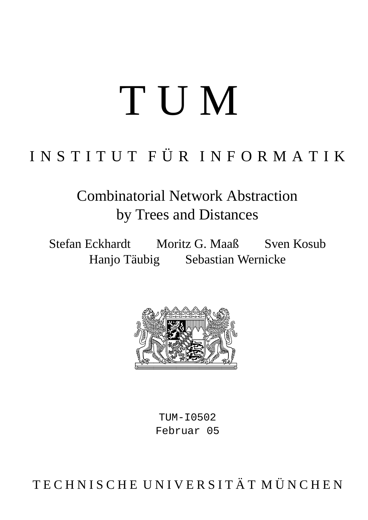# T U M

## I N S T I T U T F Ü R I N F O R M A T I K

Combinatorial Network Abstraction by Trees and Distances

Stefan Eckhardt Moritz G. Maaß Sven Kosub Hanjo Täubig Sebastian Wernicke



 $TUM-T0502$ Februar 05

TECHNISCHE UNIVERSITÄT MÜNCHEN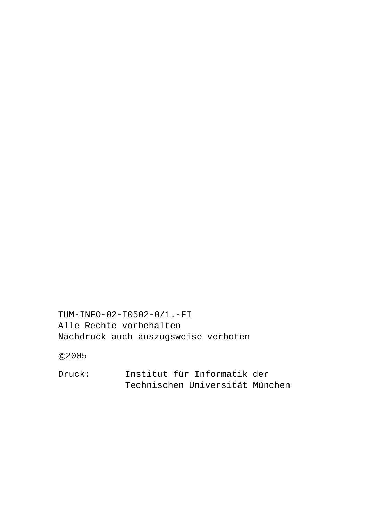c 2005

Druck: Institut für Informatik der

Technischen Universität München

Alle Rechte vorbehalten Nachdruck auch auszugsweise verboten

TUM-INFO-02-I0502-0/1.-FI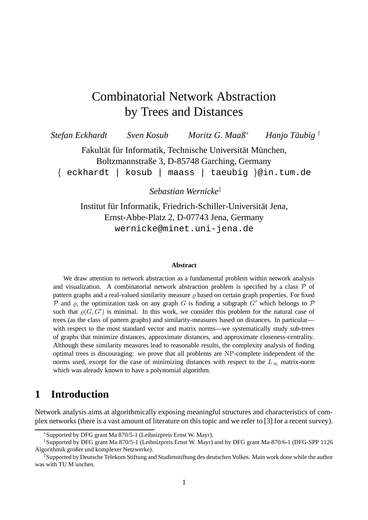### Combinatorial Network Abstraction by Trees and Distances

*Stefan Eckhardt* **Sven** *Kosub Moritz G. Maaß<sup>\*</sup>* Hanio Täubig<sup>†</sup>

> Fakultät für Informatik, Technische Universität München, Boltzmannstraße 3, D-85748 Garching, Germany

{ eckhardt | kosub | maass | taeubig }@in.tum.de

*Sebastian Wernicke* ‡

Institut für Informatik, Friedrich-Schiller-Universität Jena, Ernst-Abbe-Platz 2, D-07743 Jena, Germany wernicke@minet.uni-jena.de

#### **Abstract**

We draw attention to network abstraction as a fundamental problem within network analysis and visualization. A combinatorial network abstraction problem is specified by a class  $P$  of pattern graphs and a real-valued similarity measure  $\rho$  based on certain graph properties. For fixed P and  $\rho$ , the optimization task on any graph G is finding a subgraph G' which belongs to P such that  $\varrho(G, G')$  is minimal. In this work, we consider this problem for the natural case of trees (as the class of pattern graphs) and similarity-measures based on distances. In particular with respect to the most standard vector and matrix norms—we systematically study sub-trees of graphs that minimize distances, approximate distances, and approximate closeness-centrality. Although these similarity measures lead to reasonable results, the complexity analysis of finding optimal trees is discouraging: we prove that all problems are NP-complete independent of the norms used, except for the case of minimizing distances with respect to the  $L_{\infty}$  matrix-norm which was already known to have a polynomial algorithm.

#### **1 Introduction**

Network analysis aims at algorithmically exposing meaningful structures and characteristics of complex networks (there is a vast amount of literature on this topic and we refer to [3] for a recent survey).

<sup>∗</sup>Supported by DFG grant Ma 870/5-1 (Leibnizpreis Ernst W. Mayr).

<sup>†</sup>Supported by DFG grant Ma 870/5-1 (Leibnizpreis Ernst W. Mayr) and by DFG grant Ma-870/6-1 (DFG-SPP 1126 Algorithmik großer und komplexer Netzwerke).

<sup>‡</sup>Supported by Deutsche Telekom Stiftung and Studienstiftung des deutschen Volkes. Main work done while the author was with TU M¨unchen.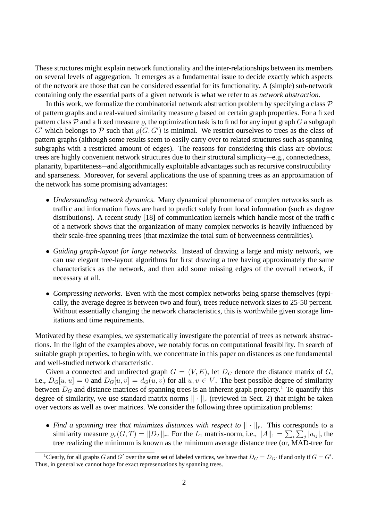These structures might explain network functionality and the inter-relationships between its members on several levels of aggregation. It emerges as a fundamental issue to decide exactly which aspects of the network are those that can be considered essential for its functionality. A (simple) sub-network containing only the essential parts of a given network is what we refer to as *network abstraction*.

In this work, we formalize the combinatorial network abstraction problem by specifying a class  $\mathcal P$ of pattern graphs and a real-valued similarity measure  $\rho$  based on certain graph properties. For a fixed pattern class P and a fixed measure  $\rho$ , the optimization task is to find for any input graph G a subgraph G' which belongs to P such that  $\varrho(G, G')$  is minimal. We restrict ourselves to trees as the class of pattern graphs (although some results seem to easily carry over to related structures such as spanning subgraphs with a restricted amount of edges). The reasons for considering this class are obvious: trees are highly convenient network structures due to their structural simplicity—e.g., connectedness, planarity, bipartiteness—and algorithmically exploitable advantages such as recursive constructibility and sparseness. Moreover, for several applications the use of spanning trees as an approximation of the network has some promising advantages:

- *Understanding network dynamics.* Many dynamical phenomena of complex networks such as traffic and information flows are hard to predict solely from local information (such as degree distributions). A recent study [18] of communication kernels which handle most of the traffic of a network shows that the organization of many complex networks is heavily influenced by their scale-free spanning trees (that maximize the total sum of betweenness centralities).
- *Guiding graph-layout for large networks.* Instead of drawing a large and misty network, we can use elegant tree-layout algorithms for first drawing a tree having approximately the same characteristics as the network, and then add some missing edges of the overall network, if necessary at all.
- *Compressing networks.* Even with the most complex networks being sparse themselves (typically, the average degree is between two and four), trees reduce network sizes to 25-50 percent. Without essentially changing the network characteristics, this is worthwhile given storage limitations and time requirements.

Motivated by these examples, we systematically investigate the potential of trees as network abstractions. In the light of the examples above, we notably focus on computational feasibility. In search of suitable graph properties, to begin with, we concentrate in this paper on distances as one fundamental and well-studied network characteristic.

Given a connected and undirected graph  $G = (V, E)$ , let  $D_G$  denote the distance matrix of G, i.e.,  $D_G[u, u] = 0$  and  $D_G[u, v] = d_G(u, v)$  for all  $u, v \in V$ . The best possible degree of similarity between  $D_G$  and distance matrices of spanning trees is an inherent graph property.<sup>1</sup> To quantify this degree of similarity, we use standard matrix norms  $\|\cdot\|_r$  (reviewed in Sect. 2) that might be taken over vectors as well as over matrices. We consider the following three optimization problems:

• Find a spanning tree that minimizes distances with respect to  $\|\cdot\|_r$ . This corresponds to a similarity measure  $\varrho_r(G, T) = ||D_T||_r$ . For the  $L_1$  matrix-norm, i.e.,  $||A||_1 = \sum_i \sum_j |a_{ij}|$ , the tree realizing the minimum is known as the minimum average distance tree (or, MAD-tree for

<sup>&</sup>lt;sup>1</sup>Clearly, for all graphs G and G' over the same set of labeled vertices, we have that  $D_G = D_{G'}$  if and only if  $G = G'$ . Thus, in general we cannot hope for exact representations by spanning trees.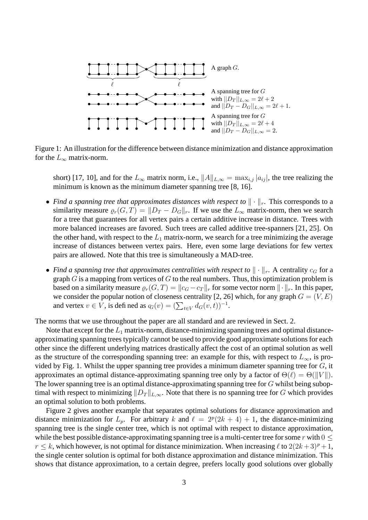

Figure 1: An illustration for the difference between distance minimization and distance approximation for the  $L_{\infty}$  matrix-norm.

short) [17, 10], and for the  $L_{\infty}$  matrix norm, i.e.,  $||A||_{L,\infty} = \max_{i,j} |a_{ij}|$ , the tree realizing the minimum is known as the minimum diameter spanning tree [8, 16].

- *Find a spanning tree that approximates distances with respect to*  $\|\cdot\|_r$ . This corresponds to a similarity measure  $\varrho_r(G, T) = ||D_T - D_G||_r$ . If we use the  $L_\infty$  matrix-norm, then we search for a tree that guarantees for all vertex pairs a certain additive increase in distance. Trees with more balanced increases are favored. Such trees are called additive tree-spanners [21, 25]. On the other hand, with respect to the  $L_1$  matrix-norm, we search for a tree minimizing the average increase of distances between vertex pairs. Here, even some large deviations for few vertex pairs are allowed. Note that this tree is simultaneously a MAD-tree.
- Find a spanning tree that approximates centralities with respect to  $\|\cdot\|_r$ . A centrality  $c_G$  for a graph  $G$  is a mapping from vertices of  $G$  to the real numbers. Thus, this optimization problem is based on a similarity measure  $\rho_r(G, T) = ||c_G - c_T||_r$  for some vector norm  $|| \cdot ||_r$ . In this paper, we consider the popular notion of closeness centrality [2, 26] which, for any graph  $G = (V, E)$ and vertex  $v \in V$ , is defined as  $q_G(v) = (\sum_{t \in V} d_G(v, t))^{-1}$ .

The norms that we use throughout the paper are all standard and are reviewed in Sect. 2.

Note that except for the  $L_1$  matrix-norm, distance-minimizing spanning trees and optimal distanceapproximating spanning trees typically cannot be used to provide good approximate solutions for each other since the different underlying matrices drastically affect the cost of an optimal solution as well as the structure of the corresponding spanning tree: an example for this, with respect to  $L_{\infty}$ , is provided by Fig. 1. Whilst the upper spanning tree provides a minimum diameter spanning tree for  $G$ , it approximates an optimal distance-approximating spanning tree only by a factor of  $\Theta(\ell) = \Theta(||V||)$ . The lower spanning tree is an optimal distance-approximating spanning tree for  $G$  whilst being suboptimal with respect to minimizing  $||D_T||_{L,\infty}$ . Note that there is no spanning tree for G which provides an optimal solution to both problems.

Figure 2 gives another example that separates optimal solutions for distance approximation and distance minimization for  $L_p$ . For arbitrary k and  $\ell = 2^p(2k + 4) + 1$ , the distance-minimizing spanning tree is the single center tree, which is not optimal with respect to distance approximation, while the best possible distance-approximating spanning tree is a multi-center tree for some r with  $0 \leq$  $r \le k$ , which however, is not optimal for distance minimization. When increasing  $\ell$  to  $2(2k+3)^p +1$ , the single center solution is optimal for both distance approximation and distance minimization. This shows that distance approximation, to a certain degree, prefers locally good solutions over globally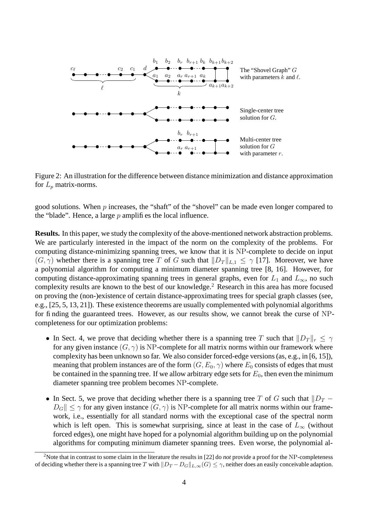

Figure 2: An illustration for the difference between distance minimization and distance approximation for  $L_p$  matrix-norms.

good solutions. When  $p$  increases, the "shaft" of the "shovel" can be made even longer compared to the "blade". Hence, a large  $p$  amplifies the local influence.

**Results.** In this paper, we study the complexity of the above-mentioned network abstraction problems. We are particularly interested in the impact of the norm on the complexity of the problems. For computing distance-minimizing spanning trees, we know that it is NP-complete to decide on input  $(G, \gamma)$  whether there is a spanning tree T of G such that  $||D_T||_{L,1} \leq \gamma$  [17]. Moreover, we have a polynomial algorithm for computing a minimum diameter spanning tree [8, 16]. However, for computing distance-approximating spanning trees in general graphs, even for  $L_1$  and  $L_{\infty}$ , no such complexity results are known to the best of our knowledge.<sup>2</sup> Research in this area has more focused on proving the (non-)existence of certain distance-approximating trees for special graph classes (see, e.g., [25, 5, 13, 21]). These existence theorems are usually complemented with polynomial algorithms for finding the guaranteed trees. However, as our results show, we cannot break the curse of NPcompleteness for our optimization problems:

- In Sect. 4, we prove that deciding whether there is a spanning tree T such that  $||D_T||_r \leq \gamma$ for any given instance  $(G, \gamma)$  is NP-complete for all matrix norms within our framework where complexity has been unknown so far. We also consider forced-edge versions(as, e.g., in [6, 15]), meaning that problem instances are of the form  $(G, E_0, \gamma)$  where  $E_0$  consists of edges that must be contained in the spanning tree. If we allow arbitrary edge sets for  $E_0$ , then even the minimum diameter spanning tree problem becomes NP-complete.
- In Sect. 5, we prove that deciding whether there is a spanning tree T of G such that  $||D_T ||D_G|| \leq \gamma$  for any given instance  $(G, \gamma)$  is NP-complete for all matrix norms within our framework, i.e., essentially for all standard norms with the exceptional case of the spectral norm which is left open. This is somewhat surprising, since at least in the case of  $L_{\infty}$  (without forced edges), one might have hoped for a polynomial algorithm building up on the polynomial algorithms for computing minimum diameter spanning trees. Even worse, the polynomial al-

<sup>2</sup>Note that in contrast to some claim in the literature the results in [22] do *not* provide a proof for the NP-completeness of deciding whether there is a spanning tree T with  $||D_T - D_G||_{L,\infty}(G) \leq \gamma$ , neither does an easily conceivable adaption.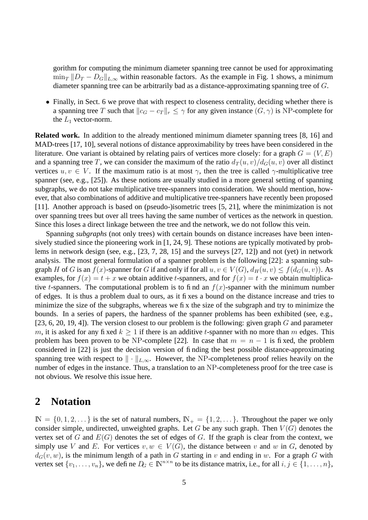gorithm for computing the minimum diameter spanning tree cannot be used for approximating  $\min_T \|D_T - D_G\|_{L,\infty}$  within reasonable factors. As the example in Fig. 1 shows, a minimum diameter spanning tree can be arbitrarily bad as a distance-approximating spanning tree of G.

• Finally, in Sect. 6 we prove that with respect to closeness centrality, deciding whether there is a spanning tree T such that  $||c_G - c_T||_r \leq \gamma$  for any given instance  $(G, \gamma)$  is NP-complete for the  $L_1$  vector-norm.

**Related work.** In addition to the already mentioned minimum diameter spanning trees [8, 16] and MAD-trees [17, 10], several notions of distance approximability by trees have been considered in the literature. One variant is obtained by relating pairs of vertices more closely: for a graph  $G = (V, E)$ and a spanning tree T, we can consider the maximum of the ratio  $d_T(u, v)/d_G(u, v)$  over all distinct vertices  $u, v \in V$ . If the maximum ratio is at most  $\gamma$ , then the tree is called  $\gamma$ -multiplicative tree spanner (see, e.g., [25]). As these notions are usually studied in a more general setting of spanning subgraphs, we do not take multiplicative tree-spanners into consideration. We should mention, however, that also combinations of additive and multiplicative tree-spanners have recently been proposed [11]. Another approach is based on (pseudo-)isometric trees [5, 21], where the minimization is not over spanning trees but over all trees having the same number of vertices as the network in question. Since this loses a direct linkage between the tree and the network, we do not follow this vein.

Spanning *subgraphs* (not only trees) with certain bounds on distance increases have been intensively studied since the pioneering work in [1, 24, 9]. These notions are typically motivated by problems in network design (see, e.g., [23, 7, 28, 15] and the surveys [27, 12]) and not (yet) in network analysis. The most general formulation of a spanner problem is the following [22]: a spanning subgraph H of G is an  $f(x)$ -spanner for G if and only if for all  $u, v \in V(G)$ ,  $d_H(u, v) \le f(d_G(u, v))$ . As examples, for  $f(x) = t + x$  we obtain additive t-spanners, and for  $f(x) = t \cdot x$  we obtain multiplicative t-spanners. The computational problem is to find an  $f(x)$ -spanner with the minimum number of edges. It is thus a problem dual to ours, as it fixes a bound on the distance increase and tries to minimize the size of the subgraphs, whereas we fix the size of the subgraph and try to minimize the bounds. In a series of papers, the hardness of the spanner problems has been exhibited (see, e.g., [23, 6, 20, 19, 4]). The version closest to our problem is the following: given graph  $G$  and parameter m, it is asked for any fixed  $k > 1$  if there is an additive t-spanner with no more than m edges. This problem has been proven to be NP-complete [22]. In case that  $m = n - 1$  is fixed, the problem considered in [22] is just the decision version of finding the best possible distance-approximating spanning tree with respect to  $\|\cdot\|_{L,\infty}$ . However, the NP-completeness proof relies heavily on the number of edges in the instance. Thus, a translation to an NP-completeness proof for the tree case is not obvious. We resolve this issue here.

#### **2 Notation**

 $\mathbb{N} = \{0, 1, 2, \dots\}$  is the set of natural numbers,  $\mathbb{N}_+ = \{1, 2, \dots\}$ . Throughout the paper we only consider simple, undirected, unweighted graphs. Let G be any such graph. Then  $V(G)$  denotes the vertex set of G and  $E(G)$  denotes the set of edges of G. If the graph is clear from the context, we simply use V and E. For vertices  $v, w \in V(G)$ , the distance between v and w in G, denoted by  $d_G(v, w)$ , is the minimum length of a path in G starting in v and ending in w. For a graph G with vertex set  $\{v_1, \ldots, v_n\}$ , we define  $D_G \in \mathbb{N}^{n \times n}$  to be its distance matrix, i.e., for all  $i, j \in \{1, \ldots, n\}$ ,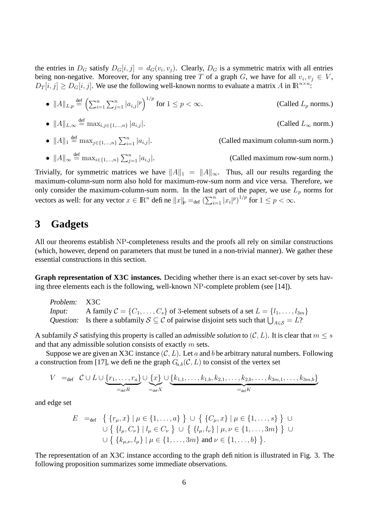the entries in  $D_G$  satisfy  $D_G[i, j] = d_G(v_i, v_j)$ . Clearly,  $D_G$  is a symmetric matrix with all entries being non-negative. Moreover, for any spanning tree T of a graph G, we have for all  $v_i, v_j \in V$ ,  $D_T[i,j] \geq D_G[i,j]$ . We use the following well-known norms to evaluate a matrix A in  $\mathbb{R}^{n \times n}$ .

- $||A||_{L,p} \stackrel{\text{def}}{=} \left( \sum_{i=1}^n \sum_{j=1}^n |a_{i,j}|^p \right)^{1/p}$ (Called  $L_p$  norms.)
- $||A||_{L,\infty} \stackrel{\text{def}}{=} \max_{i,j \in \{1,\dots,n\}} |a_{i,j}|.$  (Called  $L_{\infty}$  norm.)
- $||A||_1 \stackrel{\text{def}}{=} \max_{j \in \{1, ..., n\}} \sum_{i=1}^n$ (Called maximum column-sum norm.)
- $||A||_{\infty} \stackrel{\text{def}}{=} \max_{i \in \{1, ..., n\}} \sum_{i=1}^{n}$ (Called maximum row-sum norm.)

Trivially, for symmetric matrices we have  $||A||_1 = ||A||_{\infty}$ . Thus, all our results regarding the maximum-column-sum norm also hold for maximum-row-sum norm and vice versa. Therefore, we only consider the maximum-column-sum norm. In the last part of the paper, we use  $L_p$  norms for vectors as well: for any vector  $x \in \mathbb{R}^n$  define  $||x||_p =_{def} (\sum_{i=1}^n |x_i|^p)^{1/p}$  for  $1 \le p < \infty$ .

#### **3 Gadgets**

All our theorems establish NP-completeness results and the proofs all rely on similar constructions (which, however, depend on parameters that must be tuned in a non-trivial manner). We gather these essential constructions in this section.

**Graph representation of X3C instances.** Deciding whether there is an exact set-cover by sets having three elements each is the following, well-known NP-complete problem (see [14]).

Problem: X3C Input: A family  $C = \{C_1, \ldots, C_s\}$  of 3-element subsets of a set  $L = \{l_1, \ldots, l_{3m}\}$ Question: Is there a subfamily  $S \subseteq C$  of pairwise disjoint sets such that  $\bigcup_{A \in S} = L$ ?

A subfamily S satisfying this property is called an *admissible solution* to  $(C, L)$ . It is clear that  $m \leq s$ and that any admissible solution consists of exactly  $m$  sets.

Suppose we are given an X3C instance  $(C, L)$ . Let a and b be arbitrary natural numbers. Following a construction from [17], we define the graph  $G_{a,b}(\mathcal{C}, L)$  to consist of the vertex set

$$
V =_{\text{def}} \mathcal{C} \cup L \cup \underbrace{\{r_1,\ldots,r_a\}}_{=\text{def}R} \cup \underbrace{\{x\}}_{=\text{def}X} \cup \underbrace{\{k_{1,1},\ldots,k_{1,b},k_{2,1},\ldots,k_{2,b},\ldots,k_{3m,1},\ldots,k_{3m,b}\}}_{=\text{def}K}
$$

and edge set

$$
E =_{def} \{ \{r_{\mu}, x\} \mid \mu \in \{1, ..., a\} \} \cup \{ \{C_{\mu}, x\} \mid \mu \in \{1, ..., s\} \} \cup
$$
  

$$
\cup \{ \{l_{\mu}, C_{\nu}\} \mid l_{\mu} \in C_{\nu} \} \cup \{ \{l_{\mu}, l_{\nu}\} \mid \mu, \nu \in \{1, ..., 3m\} \} \cup
$$
  

$$
\cup \{ \{k_{\mu,\nu}, l_{\mu}\} \mid \mu \in \{1, ..., 3m\} \text{ and } \nu \in \{1, ..., b\} \}.
$$

The representation of an X3C instance according to the graph definition is illustrated in Fig. 3. The following proposition summarizes some immediate observations.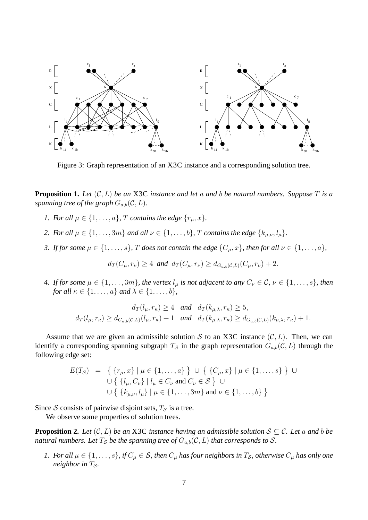

Figure 3: Graph representation of an X3C instance and a corresponding solution tree.

**Proposition 1.** Let  $(C, L)$  be an X3C instance and let a and b be natural numbers. Suppose T is a *spanning tree of the graph*  $G_{a,b}(\mathcal{C}, L)$ *.* 

- *1. For all*  $\mu \in \{1, \ldots, a\}$ , *T contains the edge*  $\{r_{\mu}, x\}$ .
- *2. For all*  $\mu \in \{1, \ldots, 3m\}$  *and all*  $\nu \in \{1, \ldots, b\}$ *, T contains the edge*  $\{k_{\mu,\nu}, l_{\mu}\}$ *.*
- *3. If for some*  $\mu \in \{1, \ldots, s\}$ *, T does not contain the edge*  $\{C_{\mu}, x\}$ *, then for all*  $\nu \in \{1, \ldots, a\}$ *,*

$$
d_T(C_\mu, r_\nu) \geq 4
$$
 and  $d_T(C_\mu, r_\nu) \geq d_{G_{a,b}(\mathcal{C},L)}(C_\mu, r_\nu) + 2$ .

*4. If for some*  $\mu \in \{1, \ldots, 3m\}$ *, the vertex*  $l_{\mu}$  *is not adjacent to any*  $C_{\nu} \in \mathcal{C}$ *,*  $\nu \in \{1, \ldots, s\}$ *, then for all*  $\kappa \in \{1, \ldots, a\}$  *and*  $\lambda \in \{1, \ldots, b\}$ *,* 

$$
d_T(l_{\mu}, r_{\kappa}) \ge 4 \text{ and } d_T(k_{\mu,\lambda}, r_{\kappa}) \ge 5,
$$
  

$$
d_T(l_{\mu}, r_{\kappa}) \ge d_{G_{a,b}(\mathcal{C},L)}(l_{\mu}, r_{\kappa}) + 1 \text{ and } d_T(k_{\mu,\lambda}, r_{\kappa}) \ge d_{G_{a,b}(\mathcal{C},L)}(k_{\mu,\lambda}, r_{\kappa}) + 1.
$$

Assume that we are given an admissible solution S to an X3C instance  $(C, L)$ . Then, we can identify a corresponding spanning subgraph  $T_S$  in the graph representation  $G_{a,b}(\mathcal{C}, L)$  through the following edge set:

$$
E(T_{\mathcal{S}}) = \left\{ \{r_{\mu}, x\} \mid \mu \in \{1, ..., a\} \right\} \cup \left\{ \{C_{\mu}, x\} \mid \mu \in \{1, ..., s\} \right\} \cup \left\{ \{l_{\mu}, C_{\nu}\} \mid l_{\mu} \in C_{\nu} \text{ and } C_{\nu} \in \mathcal{S} \right\} \cup \left\{ \{k_{\mu}, \nu, l_{\mu}\} \mid \mu \in \{1, ..., 3m\} \text{ and } \nu \in \{1, ..., b\} \right\}
$$

Since S consists of pairwise disjoint sets,  $T_S$  is a tree.

We observe some properties of solution trees.

**Proposition 2.** Let  $(C, L)$  be an X3C instance having an admissible solution  $S \subseteq C$ . Let a and b be *natural numbers. Let*  $T_s$  *be the spanning tree of*  $G_{a,b}(\mathcal{C}, L)$  *that corresponds to* S.

*1. For all*  $\mu \in \{1, \ldots, s\}$ , *if*  $C_{\mu} \in S$ , *then*  $C_{\mu}$  *has four neighbors in*  $T_S$ , *otherwise*  $C_{\mu}$  *has only one neighbor in*  $T_s$ .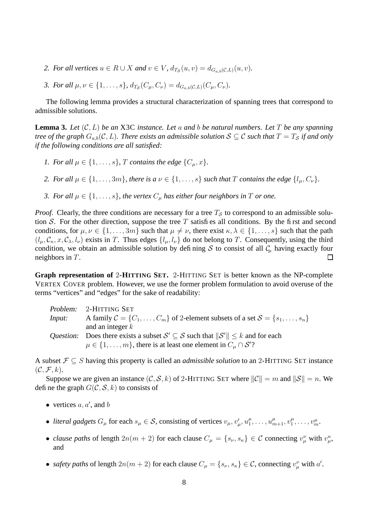- 2. For all vertices  $u \in R \cup X$  and  $v \in V$ ,  $d_{T_{\mathcal{S}}}(u, v) = d_{G_{a,b}(\mathcal{C},L)}(u, v)$ .
- *3. For all*  $\mu, \nu \in \{1, \ldots, s\}$ ,  $d_{T_{\mathcal{S}}}(C_{\mu}, C_{\nu}) = d_{G_{a,b}(\mathcal{C},L)}(C_{\mu}, C_{\nu})$ .

The following lemma provides a structural characterization of spanning trees that correspond to admissible solutions.

**Lemma 3.** Let  $(C, L)$  be an X3C instance. Let a and b be natural numbers. Let T be any spanning *tree of* the graph  $G_{a,b}(\mathcal{C}, L)$ *. There exists an admissible solution*  $S \subseteq \mathcal{C}$  *such that*  $T = T_S$  *if and only if the following conditions are all satisfied:*

- *1. For all*  $\mu \in \{1, \ldots, s\}$ , *T contains the edge*  $\{C_{\mu}, x\}$ *.*
- *2. For all*  $\mu \in \{1, \ldots, 3m\}$ , *there is a*  $\nu \in \{1, \ldots, s\}$  *such that* T *contains the edge*  $\{l_{\mu}, C_{\nu}\}$ .
- *3. For all*  $\mu \in \{1, \ldots, s\}$ , *the vertex*  $C_{\mu}$  *has either four neighbors in*  $T$  *or one.*

*Proof.* Clearly, the three conditions are necessary for a tree  $T<sub>S</sub>$  to correspond to an admissible solution S. For the other direction, suppose the tree  $T$  satisfies all conditions. By the first and second conditions, for  $\mu, \nu \in \{1, \dots, 3m\}$  such that  $\mu \neq \nu$ , there exist  $\kappa, \lambda \in \{1, \dots, s\}$  such that the path  $(l_u, \mathcal{C}_{\kappa}, x, \mathcal{C}_{\lambda}, l_{\nu})$  exists in T. Thus edges  $\{l_u, l_{\nu}\}\$  do not belong to T. Consequently, using the third condition, we obtain an admissible solution by defining S to consist of all  $C_\mu$  having exactly four neighbors in T. ப

**Graph representation of** 2**-HITTING SET.** 2-HITTING SET is better known as the NP-complete VERTEX COVER problem. However, we use the former problem formulation to avoid overuse of the terms "vertices" and "edges" for the sake of readability:

|        | Problem: 2-HITTING SET                                                                       |
|--------|----------------------------------------------------------------------------------------------|
| Input: | A family $C = \{C_1, \ldots, C_m\}$ of 2-element subsets of a set $S = \{s_1, \ldots, s_n\}$ |
|        | and an integer $k$                                                                           |
|        | Question: Does there exists a subset $S' \subseteq S$ such that $  S'   \le k$ and for each  |
|        | $\mu \in \{1, \ldots, m\}$ , there is at least one element in $C_{\mu} \cap \mathcal{S}'$ ?  |

A subset F ⊆ S having this property is called an *admissible solution* to an 2-HITTING SET instance  $(C, \mathcal{F}, k).$ 

Suppose we are given an instance  $(C, S, k)$  of 2-HITTING SET where  $||C|| = m$  and  $||S|| = n$ . We define the graph  $G(C, \mathcal{S}, k)$  to consists of

- vertices  $a, a'$ , and  $b$
- *literal gadgets*  $G_{\mu}$  for each  $s_{\mu} \in S$ , consisting of vertices  $v_{\mu}, v_{\mu}', u_1^{\mu}$  $u_{1}^{\mu}, \ldots, u_{m+1}^{\mu}, v_{1}^{\mu}$  $u_1^{\mu}, \ldots, u_m^{\mu}.$
- *clause paths* of length  $2n(m+2)$  for each clause  $C_{\mu} = \{s_{\nu}, s_{\kappa}\}\in \mathcal{C}$  connecting  $v_{\mu}^{\nu}$  with  $v_{\mu}^{\kappa}$ , and
- *safety paths* of length  $2n(m + 2)$  for each clause  $C_{\mu} = \{s_{\nu}, s_{\kappa}\}\in \mathcal{C}$ , connecting  $v_{\mu}^{\nu}$  with  $a'$ .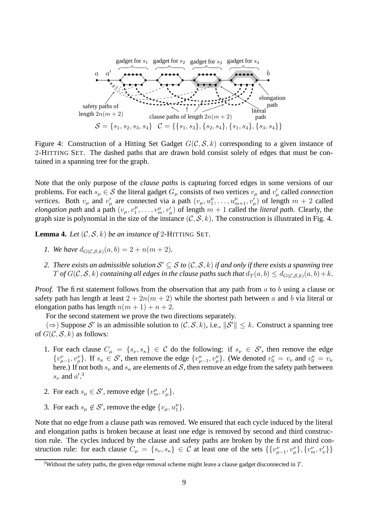

Figure 4: Construction of a Hitting Set Gadget  $G(C, \mathcal{S}, k)$  corresponding to a given instance of 2-HITTING SET. The dashed paths that are drawn bold consist solely of edges that must be contained in a spanning tree for the graph.

Note that the only purpose of the *clause paths* is capturing forced edges in some versions of our problems. For each  $s_\mu \in \mathcal{S}$  the literal gadget  $G_\mu$  consists of two vertices  $v_\mu$  and  $v'_\mu$  called *connection vertices.* Both  $v_{\mu}$  and  $v'_{\mu}$  are connected via a path  $(v_{\mu}, u_1^{\mu})$  $u_1^{\mu}, \ldots, u_{m+1}^{\mu}, v_{\mu}^{\prime}$  of length  $m+2$  called *elongation path* and a path  $(v_\mu, v_1^\mu)$  $\mathcal{L}_1^{\mu}, \ldots, \mathcal{L}_m^{\mu}, \mathcal{L}_{\mu}^{\prime}$  of length  $m+1$  called the *literal path*. Clearly, the graph size is polynomial in the size of the instance  $(C, \mathcal{S}, k)$ . The construction is illustrated in Fig. 4.

**Lemma 4.** Let  $(C, S, k)$  be an instance of 2-HITTING SET.

- *1.* We have  $d_{G(C, S, k)}(a, b) = 2 + n(m + 2)$ .
- 2. There exists an admissible solution  $S' \subseteq S$  to  $(C, S, k)$  if and only if there exists a spanning tree T of  $G(C, S, k)$  containing all edges in the clause paths such that  $d_T(a, b) \leq d_{G(C, S, k)}(a, b) + k$ .

*Proof.* The first statement follows from the observation that any path from a to b using a clause or safety path has length at least  $2 + 2n(m + 2)$  while the shortest path between a and b via literal or elongation paths has length  $n(m + 1) + n + 2$ .

For the second statement we prove the two directions separately.

(⇒) Suppose S' is an admissible solution to  $(C, \mathcal{S}, k)$ , i.e.,  $||\mathcal{S}'|| \leq k$ . Construct a spanning tree of  $G(\mathcal{C}, \mathcal{S}, k)$  as follows:

- 1. For each clause  $C_{\mu} = \{s_{\nu}, s_{\kappa}\}\in \mathcal{C}$  do the following: if  $s_{\nu} \in \mathcal{S}'$ , then remove the edge  $\{v_{\mu-1}^{\nu}, v_{\mu}^{\nu}\}\.$  If  $s_{\kappa} \in S'$ , then remove the edge  $\{v_{\mu-1}^{\kappa}, v_{\mu}^{\kappa}\}\.$  (We denoted  $v_0^{\nu} = v_{\nu}$  and  $v_0^{\kappa} = v_{\kappa}$ here.) If not both  $s_{\nu}$  and  $s_{\kappa}$  are elements of S, then remove an edge from the safety path between  $s_{\nu}$  and  $a^{\prime}$ .<sup>3</sup>
- 2. For each  $s_{\mu} \in S'$ , remove edge  $\{v_m^{\mu}, v_{\mu}'\}$ .
- 3. For each  $s_{\mu} \notin S'$ , remove the edge  $\{v_{\mu}, u_1^{\mu}\}$  $_{1}^{\mu}$ .

Note that no edge from a clause path was removed. We ensured that each cycle induced by the literal and elongation paths is broken because at least one edge is removed by second and third construction rule. The cycles induced by the clause and safety paths are broken by the first and third construction rule: for each clause  $C_{\mu} = \{s_{\nu}, s_{\kappa}\}\in \mathcal{C}$  at least one of the sets  $\{\{v_{\mu-1}^{\nu}, v_{\mu}^{\nu}\}, \{v_{m}^{\nu}, v_{\nu}^{\nu}\}\}\$ 

<sup>&</sup>lt;sup>3</sup>Without the safety paths, the given edge removal scheme might leave a clause gadget disconnected in  $T$ .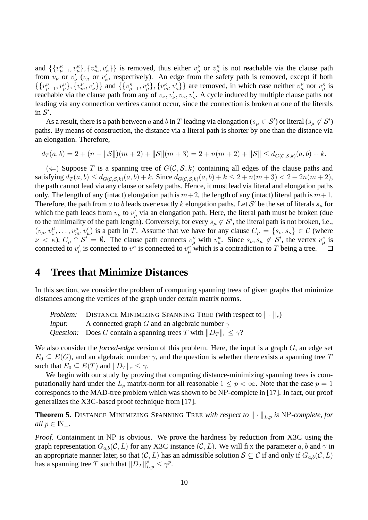and  $\{\{v_{\mu-1}^k, v_{\mu}^k\}, \{v_m^k, v_k'\}\}\$  is removed, thus either  $v_{\mu}^{\nu}$  or  $v_{\mu}^{\kappa}$  is not reachable via the clause path from  $v_{\nu}$  or  $v_{\nu}'$  ( $v_{\kappa}$  or  $v_{\kappa}'$ , respectively). An edge from the safety path is removed, except if both  $\{\{v_{\mu-1}^{\nu}, v_{\mu}^{\nu}\}, \{v_{m}^{\nu}, v_{\nu}^{\nu}\}\}\$  and  $\{\{v_{\mu-1}^{\kappa}, v_{\mu}^{\kappa}\}, \{v_{m}^{\kappa}, v_{\kappa}^{\nu}\}\}\$  are removed, in which case neither  $v_{\mu}^{\nu}$  nor  $v_{\mu}^{\kappa}$  is reachable via the clause path from any of  $v_\nu, v'_\nu, v_\kappa, v'_\kappa$ . A cycle induced by multiple clause paths not leading via any connection vertices cannot occur, since the connection is broken at one of the literals in  $S'$ .

As a result, there is a path between a and b in T leading via elongation ( $s_\mu \in S'$ ) or literal ( $s_\mu \notin S'$ ) paths. By means of construction, the distance via a literal path is shorter by one than the distance via an elongation. Therefore,

$$
d_T(a,b) = 2 + (n - ||\mathcal{S}||)(m+2) + ||\mathcal{S}||(m+3) = 2 + n(m+2) + ||\mathcal{S}|| \leq d_{G(\mathcal{C},\mathcal{S},k)}(a,b) + k.
$$

 $(\Leftarrow)$  Suppose T is a spanning tree of  $G(C, \mathcal{S}, k)$  containing all edges of the clause paths and satisfying  $d_T(a, b) \leq d_{G(C, S, k)}(a, b) + k$ . Since  $d_{G(C, S, k)}(a, b) + k \leq 2 + n(m + 3) < 2 + 2n(m + 2)$ , the path cannot lead via any clause or safety paths. Hence, it must lead via literal and elongation paths only. The length of any (intact) elongation path is  $m+2$ , the length of any (intact) literal path is  $m+1$ . Therefore, the path from a to b leads over exactly k elongation paths. Let S' be the set of literals  $s_\mu$  for which the path leads from  $v_{\mu}$  to  $v'_{\mu}$  via an elongation path. Here, the literal path must be broken (due to the minimality of the path length). Conversely, for every  $s_\mu \notin S'$ , the literal path is not broken, i.e.,  $(v_{\mu},v_{1}^{\mu})$  $\mu_1^{\mu}, \ldots, \nu_m^{\mu}, \nu_{\mu}^{\prime}$ ) is a path in T. Assume that we have for any clause  $C_{\mu} = \{s_{\nu}, s_{\kappa}\} \in \mathcal{C}$  (where  $\nu < \kappa$ ),  $C_{\mu} \cap S' = \emptyset$ . The clause path connects  $v^{\nu}_{\mu}$  with  $v^{\kappa}_{\mu}$ . Since  $s_{\nu}, s_{\kappa} \notin S'$ , the vertex  $v^{\nu}_{\mu}$  is connected to  $v'_{\nu}$  is connected to  $v^{\kappa}$  is connected to  $v^{\kappa}_{\mu}$  which is a contradiction to T being a tree.

#### **4 Trees that Minimize Distances**

In this section, we consider the problem of computing spanning trees of given graphs that minimize distances among the vertices of the graph under certain matrix norms.

Problem: DISTANCE MINIMIZING SPANNING TREE (with respect to  $\|\cdot\|_r$ ) *Input:* A connected graph G and an algebraic number  $\gamma$ Question: Does G contain a spanning trees T with  $||D_T||_r \le \gamma$ ?

We also consider the *forced-edge* version of this problem. Here, the input is a graph G, an edge set  $E_0 \subseteq E(G)$ , and an algebraic number  $\gamma$ , and the question is whether there exists a spanning tree T such that  $E_0 \subseteq E(T)$  and  $||D_T||_r \leq \gamma$ .

We begin with our study by proving that computing distance-minimizing spanning trees is computationally hard under the  $L_p$  matrix-norm for all reasonable  $1 \leq p < \infty$ . Note that the case  $p = 1$ corresponds to the MAD-tree problem which was shown to be NP-complete in [17]. In fact, our proof generalizes the X3C-based proof technique from [17].

**Theorem 5.** DISTANCE MINIMIZING SPANNING TREE *with respect to*  $\|\cdot\|_{L,p}$  *is* NP-*complete, for all*  $p \in \mathbb{N}_+$ .

*Proof.* Containment in NP is obvious. We prove the hardness by reduction from X3C using the graph representation  $G_{a,b}(\mathcal{C}, L)$  for any X3C instance  $(\mathcal{C}, L)$ . We will fix the parameter  $a, b$  and  $\gamma$  in an appropriate manner later, so that  $(C, L)$  has an admissible solution  $S \subseteq C$  if and only if  $G_{a,b}(C, L)$ has a spanning tree T such that  $||D_T||_{L,p}^p \le \gamma^p$ .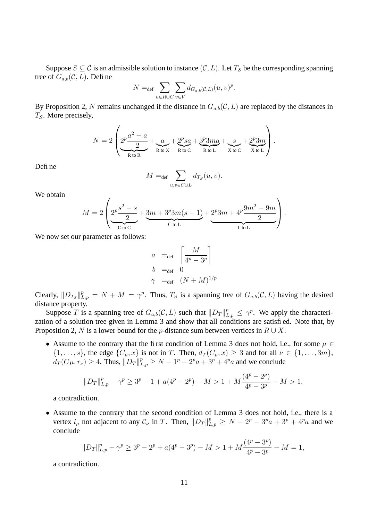Suppose  $S \subseteq \mathcal{C}$  is an admissible solution to instance  $(\mathcal{C}, L)$ . Let  $T_{\mathcal{S}}$  be the corresponding spanning tree of  $G_{a,b}(\mathcal{C}, L)$ . Define

$$
N =_{\text{def}} \sum_{u \in R \cup C} \sum_{v \in V} d_{G_{a,b}(\mathcal{C},L)}(u,v)^p.
$$

By Proposition 2, N remains unchanged if the distance in  $G_{a,b}(\mathcal{C}, L)$  are replaced by the distances in  $T_{\mathcal{S}}$ . More precisely,

$$
N = 2\left(\underbrace{2^{p}\frac{a^{2}-a}{2}}_{\text{R to R}} + \underbrace{a}_{\text{R to X}} + \underbrace{2^{p}sa}_{\text{R to C}} + \underbrace{3^{p}3ma}_{\text{R to L}} + \underbrace{s}_{\text{X to C}} + \underbrace{2^{p}3m}_{\text{X to L}}\right).
$$

Defi<sub>ne</sub>

$$
M =_{\text{def}} \sum_{u,v \in C \cup L} d_{T_{\mathcal{S}}}(u,v).
$$

We obtain

$$
M = 2\left(\underbrace{2^{p}\frac{s^{2}-s}{2}}_{\text{C to C}} + \underbrace{3m+3^{p}3m(s-1)}_{\text{C to L}} + \underbrace{2^{p}3m+4^{p}\frac{9m^{2}-9m}{2}}_{\text{L to L}}\right).
$$

We now set our parameter as follows:

$$
a =_{def} \left[ \frac{M}{4^p - 3^p} \right]
$$
  
\n
$$
b =_{def} 0
$$
  
\n
$$
\gamma =_{def} (N + M)^{1/p}
$$

Clearly,  $||D_{T_{\mathcal{S}}}||_{L,p}^p = N + M = \gamma^p$ . Thus,  $T_{\mathcal{S}}$  is a spanning tree of  $G_{a,b}(\mathcal{C}, L)$  having the desired distance property.

Suppose T is a spanning tree of  $G_{a,b}(\mathcal{C}, L)$  such that  $||D_T||_{L,p}^p \leq \gamma^p$ . We apply the characterization of a solution tree given in Lemma 3 and show that all conditions are satisfied. Note that, by Proposition 2, N is a lower bound for the p-distance sum between vertices in  $R \cup X$ .

• Assume to the contrary that the first condition of Lemma 3 does not hold, i.e., for some  $\mu \in$  $\{1,\ldots,s\}$ , the edge  $\{C_{\mu},x\}$  is not in T. Then,  $d_T(C_{\mu},x) \geq 3$  and for all  $\nu \in \{1,\ldots,3m\}$ ,  $d_T(C\mu, r_\nu) \ge 4$ . Thus,  $||D_T||_{L,p}^p \ge N - 1^p - 2^p a + 3^p + 4^p a$  and we conclude

$$
||D_T||_{L,p}^p - \gamma^p \ge 3^p - 1 + a(4^p - 2^p) - M > 1 + M \frac{(4^p - 2^p)}{4^p - 3^p} - M > 1,
$$

a contradiction.

• Assume to the contrary that the second condition of Lemma 3 does not hold, i.e., there is a vertex  $l_{\mu}$  not adjacent to any  $\mathcal{C}_{\nu}$  in T. Then,  $||D_T||_{L,p}^p \ge N - 2^p - 3^p a + 3^p + 4^p a$  and we conclude

$$
||D_T||_{L,p}^p - \gamma^p \ge 3^p - 2^p + a(4^p - 3^p) - M > 1 + M\frac{(4^p - 3^p)}{4^p - 3^p} - M = 1,
$$

a contradiction.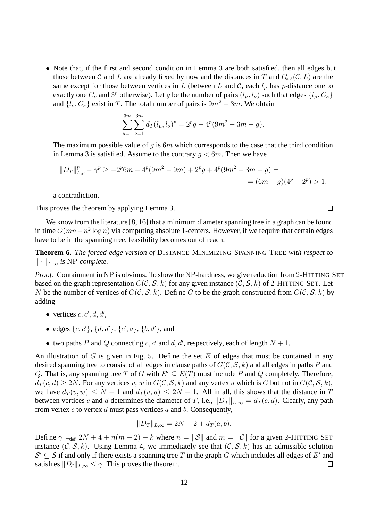• Note that, if the first and second condition in Lemma 3 are both satisfied, then all edges but those between C and L are already fixed by now and the distances in T and  $G_{a,b}(\mathcal{C}, L)$  are the same except for those between vertices in L (between L and C, each  $l_{\mu}$  has p-distance one to exactly one  $C_{\nu}$  and  $3^p$  otherwise). Let g be the number of pairs  $(l_{\mu}, l_{\nu})$  such that edges  $\{l_{\mu}, C_{\kappa}\}\$ and  $\{l_{\nu}, C_{\kappa}\}\)$  exist in T. The total number of pairs is  $9m^2 - 3m$ . We obtain

$$
\sum_{\mu=1}^{3m} \sum_{\nu=1}^{3m} d_T(l_\mu, l_\nu)^p = 2^p g + 4^p (9m^2 - 3m - g).
$$

The maximum possible value of q is  $6m$  which corresponds to the case that the third condition in Lemma 3 is satisfied. Assume to the contrary  $q < 6m$ . Then we have

$$
||D_T||_{L,p}^p - \gamma^p \ge -2^p 6m - 4^p (9m^2 - 9m) + 2^p g + 4^p (9m^2 - 3m - g) =
$$
  
=  $(6m - g)(4^p - 2^p) > 1,$ 

a contradiction.

This proves the theorem by applying Lemma 3.

We know from the literature  $[8, 16]$  that a minimum diameter spanning tree in a graph can be found in time  $O(mn + n^2 \log n)$  via computing absolute 1-centers. However, if we require that certain edges have to be in the spanning tree, feasibility becomes out of reach.

**Theorem 6.** *The forced-edge version of* DISTANCE MINIMIZING SPANNING TREE *with respect to*  $\|\cdot\|_{L,\infty}$  *is* NP-complete.

*Proof.* Containment in NP is obvious. To show the NP-hardness, we give reduction from 2-HITTING SET based on the graph representation  $G(C, \mathcal{S}, k)$  for any given instance  $(C, \mathcal{S}, k)$  of 2-HITTING SET. Let N be the number of vertices of  $G(C, S, k)$ . Define G to be the graph constructed from  $G(C, S, k)$  by adding

- vertices  $c, c', d, d',$
- edges  $\{c, c'\}, \{d, d'\}, \{c', a\}, \{b, d'\}, \text{and}$
- two paths P and Q connecting c, c' and d, d', respectively, each of length  $N + 1$ .

An illustration of  $G$  is given in Fig. 5. Define the set  $E$  of edges that must be contained in any desired spanning tree to consist of all edges in clause paths of  $G(\mathcal{C}, \mathcal{S}, k)$  and all edges in paths P and Q. That is, any spanning tree T of G with  $E' \subseteq E(T)$  must include P and Q completely. Therefore,  $d_T(c, d) \ge 2N$ . For any vertices v, w in  $G(\mathcal{C}, \mathcal{S}, k)$  and any vertex u which is G but not in  $G(\mathcal{C}, \mathcal{S}, k)$ , we have  $d_T(v, w) \leq N - 1$  and  $d_T(v, u) \leq 2N - 1$ . All in all, this shows that the distance in T between vertices c and d determines the diameter of T, i.e.,  $||D_T||_{L,\infty} = d_T (c, d)$ . Clearly, any path from vertex c to vertex d must pass vertices a and b. Consequently,

$$
||D_T||_{L,\infty} = 2N + 2 + d_T(a,b).
$$

Define  $\gamma =_{def} 2N + 4 + n(m + 2) + k$  where  $n = ||\mathcal{S}||$  and  $m = ||\mathcal{C}||$  for a given 2-HITTING SET instance  $(C, S, k)$ . Using Lemma 4, we immediately see that  $(C, S, k)$  has an admissible solution  $S' \subseteq S$  if and only if there exists a spanning tree T in the graph G which includes all edges of E' and satisfies  $||D_T||_{L,\infty} \leq \gamma$ . This proves the theorem.  $\Box$ 

 $\Box$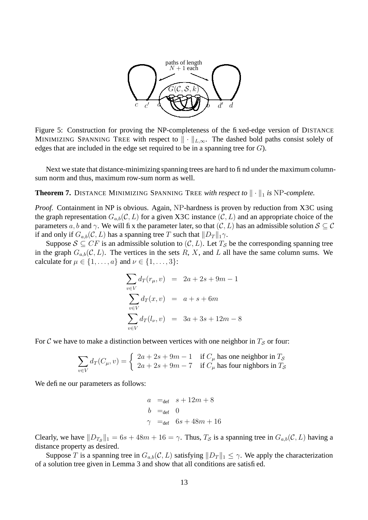

Figure 5: Construction for proving the NP-completeness of the fixed-edge version of DISTANCE MINIMIZING SPANNING TREE with respect to  $\|\cdot\|_{L,\infty}$ . The dashed bold paths consist solely of edges that are included in the edge set required to be in a spanning tree for  $G$ ).

Next we state that distance-minimizing spanning trees are hard to find under the maximum columnsum norm and thus, maximum row-sum norm as well.

**Theorem 7.** DISTANCE MINIMIZING SPANNING TREE *with respect to*  $\|\cdot\|_1$  *is* NP*-complete.* 

*Proof.* Containment in NP is obvious. Again, NP-hardness is proven by reduction from X3C using the graph representation  $G_{a,b}(\mathcal{C}, L)$  for a given X3C instance  $(\mathcal{C}, L)$  and an appropriate choice of the parameters a, b and  $\gamma$ . We will fix the parameter later, so that  $(C, L)$  has an admissible solution  $S \subseteq C$ if and only if  $G_{a,b}(\mathcal{C}, L)$  has a spanning tree T such that  $||D_T||_1\gamma$ .

Suppose  $S \subseteq CF$  is an admissible solution to  $(C, L)$ . Let  $T_S$  be the corresponding spanning tree in the graph  $G_{a,b}(\mathcal{C}, L)$ . The vertices in the sets R, X, and L all have the same column sums. We calculate for  $\mu \in \{1, \ldots, a\}$  and  $\nu \in \{1, \ldots, 3\}$ :

$$
\sum_{v \in V} d_T(r_{\mu}, v) = 2a + 2s + 9m - 1
$$
  

$$
\sum_{v \in V} d_T(x, v) = a + s + 6m
$$
  

$$
\sum_{v \in V} d_T(l_{\nu}, v) = 3a + 3s + 12m - 8
$$

For C we have to make a distinction between vertices with one neighbor in  $T<sub>S</sub>$  or four:

$$
\sum_{v \in V} d_T(C_{\mu}, v) = \begin{cases} 2a + 2s + 9m - 1 & \text{if } C_{\mu} \text{ has one neighbor in } T_{\mathcal{S}} \\ 2a + 2s + 9m - 7 & \text{if } C_{\mu} \text{ has four nilbors in } T_{\mathcal{S}} \end{cases}
$$

We define our parameters as follows:

$$
a =_{def} s + 12m + 8
$$
  
\n
$$
b =_{def} 0
$$
  
\n
$$
\gamma =_{def} 6s + 48m + 16
$$

Clearly, we have  $||D_{T_{\mathcal{S}}}||_1 = 6s + 48m + 16 = \gamma$ . Thus,  $T_{\mathcal{S}}$  is a spanning tree in  $G_{a,b}(\mathcal{C}, L)$  having a distance property as desired.

Suppose T is a spanning tree in  $G_{a,b}(\mathcal{C}, L)$  satisfying  $||D_T||_1 \leq \gamma$ . We apply the characterization of a solution tree given in Lemma 3 and show that all conditions are satisfied.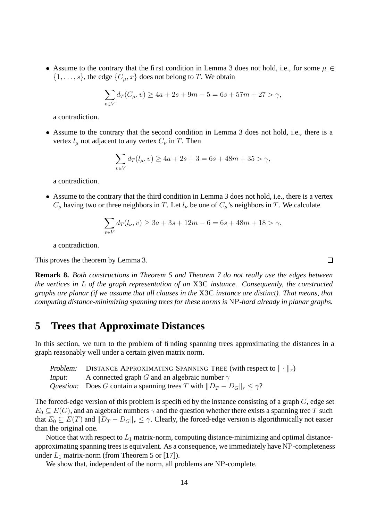• Assume to the contrary that the first condition in Lemma 3 does not hold, i.e., for some  $\mu \in$  $\{1, \ldots, s\}$ , the edge  $\{C_{\mu}, x\}$  does not belong to T. We obtain

$$
\sum_{v \in V} d_T(C_{\mu}, v) \ge 4a + 2s + 9m - 5 = 6s + 57m + 27 > \gamma,
$$

a contradiction.

• Assume to the contrary that the second condition in Lemma 3 does not hold, i.e., there is a vertex  $l_{\mu}$  not adjacent to any vertex  $C_{\nu}$  in T. Then

$$
\sum_{v \in V} d_T(l_\mu, v) \ge 4a + 2s + 3 = 6s + 48m + 35 > \gamma,
$$

a contradiction.

• Assume to the contrary that the third condition in Lemma 3 does not hold, i.e., there is a vertex  $C_{\mu}$  having two or three neighbors in T. Let  $l_{\nu}$  be one of  $C_{\mu}$ 's neighbors in T. We calculate

$$
\sum_{v \in V} d_T(l_\nu, v) \ge 3a + 3s + 12m - 6 = 6s + 48m + 18 > \gamma,
$$

a contradiction.

This proves the theorem by Lemma 3.

**Remark 8.** *Both constructions in Theorem 5 and Theorem 7 do not really use the edges between the vertices in* L *of the graph representation of an* X3C *instance. Consequently, the constructed graphs are planar (if we assume that all clauses in the* X3C *instance are distinct). That means, that computing distance-minimizing spanning trees for these norms is* NP*-hard already in planar graphs.*

#### **5 Trees that Approximate Distances**

In this section, we turn to the problem of finding spanning trees approximating the distances in a graph reasonably well under a certain given matrix norm.

| Problem: DISTANCE APPROXIMATING SPANNING TREE (with respect to $\ \cdot\ _r$ ) |
|--------------------------------------------------------------------------------|
| <i>Input:</i> A connected graph G and an algebraic number $\gamma$             |
| Question: Does G contain a spanning trees T with $  D_T - D_G  _r < \gamma$ ?  |

The forced-edge version of this problem is specified by the instance consisting of a graph  $G$ , edge set  $E_0 \subseteq E(G)$ , and an algebraic numbers  $\gamma$  and the question whether there exists a spanning tree T such that  $E_0 \subseteq E(T)$  and  $||D_T - D_G||_r \leq \gamma$ . Clearly, the forced-edge version is algorithmically not easier than the original one.

Notice that with respect to  $L_1$  matrix-norm, computing distance-minimizing and optimal distanceapproximating spanning trees is equivalent. As a consequence, we immediately have NP-completeness under  $L_1$  matrix-norm (from Theorem 5 or [17]).

We show that, independent of the norm, all problems are NP-complete.

 $\Box$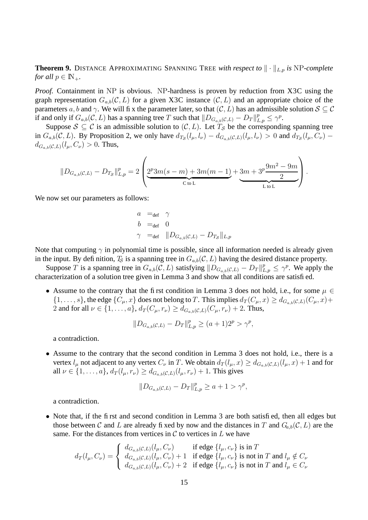**Theorem 9.** DISTANCE APPROXIMATING SPANNING TREE *with respect to*  $\|\cdot\|_{L,p}$  *is* NP-complete *for all*  $p \in \mathbb{N}_+$ *.* 

*Proof.* Containment in NP is obvious. NP-hardness is proven by reduction from X3C using the graph representation  $G_{a,b}(\mathcal{C}, L)$  for a given X3C instance  $(\mathcal{C}, L)$  and an appropriate choice of the parameters a, b and  $\gamma$ . We will fix the parameter later, so that  $(C, L)$  has an admissible solution  $S \subseteq C$ if and only if  $G_{a,b}(\mathcal{C}, L)$  has a spanning tree T such that  $||D_{G_{a,b}(\mathcal{C}, L)} - D_T||_{L,p}^p \le \gamma^p$ .

Suppose  $S \subseteq C$  is an admissible solution to  $(C, L)$ . Let  $T_S$  be the corresponding spanning tree in  $G_{a,b}(\mathcal{C}, L)$ . By Proposition 2, we only have  $d_{T_{\mathcal{S}}}(l_{\mu}, l_{\nu}) - d_{G_{a,b}(\mathcal{C}, L)}(l_{\mu}, l_{\nu}) > 0$  and  $d_{T_{\mathcal{S}}}(l_{\mu}, C_{\nu})$  $d_{G_{\alpha,b}(\mathcal{C},L)}(l_{\mu}, C_{\nu}) > 0$ . Thus,

$$
||D_{G_{a,b}(C,L)} - D_{Ts}||_{L,p}^p = 2\left(\underbrace{2^p 3m(s-m) + 3m(m-1)}_{C \text{ to } L} + \underbrace{3m + 3^p \frac{9m^2 - 9m}{2}}_{L \text{ to } L}\right).
$$

We now set our parameters as follows:

$$
\begin{array}{lll} a & =_{\text{def}} & \gamma \\ b & =_{\text{def}} & 0 \\ \gamma & =_{\text{def}} & \|D_{G_{a,b}(\mathcal{C},L)} - D_{T_{\mathcal{S}}} \|_{L,p} \end{array}
$$

Note that computing  $\gamma$  in polynomial time is possible, since all information needed is already given in the input. By definition,  $T_S$  is a spanning tree in  $G_{a,b}(\mathcal{C}, L)$  having the desired distance property.

Suppose T is a spanning tree in  $G_{a,b}(\mathcal{C}, L)$  satisfying  $||D_{G_{a,b}(\mathcal{C}, L)} - D_T||_{L,p}^p \leq \gamma^p$ . We apply the characterization of a solution tree given in Lemma 3 and show that all conditions are satisfied.

• Assume to the contrary that the first condition in Lemma 3 does not hold, i.e., for some  $\mu \in$  $\{1,\ldots,s\}$ , the edge  $\{C_{\mu},x\}$  does not belong to T. This implies  $d_T(C_{\mu},x) \geq d_{G_{a,b}(\mathcal{C},L)}(C_{\mu},x)+$ 2 and for all  $\nu \in \{1, ..., a\}, d_T(C_\mu, r_\nu) \geq d_{G_{a,b}(\mathcal{C},L)}(C_\mu, r_\nu) + 2$ . Thus,

$$
||D_{G_{a,b}(\mathcal{C},L)} - D_T||_{L,p}^p \ge (a+1)2^p > \gamma^p,
$$

a contradiction.

• Assume to the contrary that the second condition in Lemma 3 does not hold, i.e., there is a vertex  $l_\mu$  not adjacent to any vertex  $C_\nu$  in T. We obtain  $d_T(l_\mu, x) \geq d_{G_{a,b}(\mathcal{C},L)}(l_\mu, x) + 1$  and for all  $\nu \in \{1, ..., a\}, d_T(l_u, r_v) \geq d_{G_{a,b}(\mathcal{C},L)}(l_u, r_v) + 1$ . This gives

$$
||D_{G_{a,b}(\mathcal{C},L)} - D_T||_{L,p}^p \ge a + 1 > \gamma^p,
$$

a contradiction.

• Note that, if the first and second condition in Lemma 3 are both satisfied, then all edges but those between C and L are already fixed by now and the distances in T and  $G_{a,b}(\mathcal{C}, L)$  are the same. For the distances from vertices in  $\mathcal C$  to vertices in  $L$  we have

$$
d_T(l_\mu, C_\nu) = \begin{cases} d_{G_{a,b}(\mathcal{C},L)}(l_\mu, C_\nu) & \text{if edge } \{l_\mu, c_\nu\} \text{ is in } T \\ d_{G_{a,b}(\mathcal{C},L)}(l_\mu, C_\nu) + 1 & \text{if edge } \{l_\mu, c_\nu\} \text{ is not in } T \text{ and } l_\mu \notin C_\nu \\ d_{G_{a,b}(\mathcal{C},L)}(l_\mu, C_\nu) + 2 & \text{if edge } \{l_\mu, c_\nu\} \text{ is not in } T \text{ and } l_\mu \in C_\nu \end{cases}
$$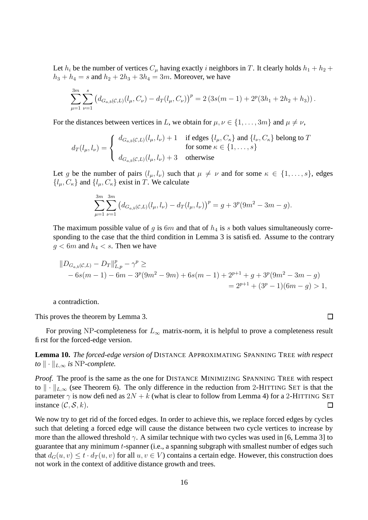Let  $h_i$  be the number of vertices  $C_\mu$  having exactly i neighbors in T. It clearly holds  $h_1 + h_2 +$  $h_3 + h_4 = s$  and  $h_2 + 2h_3 + 3h_4 = 3m$ . Moreover, we have

$$
\sum_{\mu=1}^{3m} \sum_{\nu=1}^{s} \left( d_{G_{a,b}(\mathcal{C},L)}(l_{\mu}, C_{\nu}) - d_{T}(l_{\mu}, C_{\nu}) \right)^{p} = 2 \left( 3s(m-1) + 2^{p} (3h_{1} + 2h_{2} + h_{3}) \right).
$$

For the distances between vertices in L, we obtain for  $\mu, \nu \in \{1, \dots, 3m\}$  and  $\mu \neq \nu$ ,

$$
d_T(l_\mu, l_\nu) = \begin{cases} d_{G_{a,b}(\mathcal{C},L)}(l_\mu, l_\nu) + 1 & \text{if edges } \{l_\mu, C_\kappa\} \text{ and } \{l_\nu, C_\kappa\} \text{ belong to } T \\ & \text{for some } \kappa \in \{1, \dots, s\} \\ d_{G_{a,b}(\mathcal{C},L)}(l_\mu, l_\nu) + 3 & \text{otherwise} \end{cases}
$$

Let g be the number of pairs  $(l_{\mu}, l_{\nu})$  such that  $\mu \neq \nu$  and for some  $\kappa \in \{1, \ldots, s\}$ , edges  $\{l_{\mu}, C_{\kappa}\}\$ and  $\{l_{\mu}, C_{\kappa}\}\$ exist in T. We calculate

$$
\sum_{\mu=1}^{3m} \sum_{\nu=1}^{3m} \left( d_{G_{a,b}(\mathcal{C},L)}(l_{\mu},l_{\nu}) - d_{T}(l_{\mu},l_{\nu}) \right)^{p} = g + 3^{p} (9m^{2} - 3m - g).
$$

The maximum possible value of g is  $6m$  and that of  $h_4$  is s both values simultaneously corresponding to the case that the third condition in Lemma 3 is satisfied. Assume to the contrary  $g < 6m$  and  $h_4 < s$ . Then we have

$$
||D_{G_{a,b}(C,L)} - D_T||_{L,p}^p - \gamma^p \ge
$$
  
- 6s(m - 1) - 6m - 3<sup>p</sup>(9m<sup>2</sup> - 9m) + 6s(m - 1) + 2<sup>p+1</sup> + g + 3<sup>p</sup>(9m<sup>2</sup> - 3m - g)  
= 2<sup>p+1</sup> + (3<sup>p</sup> - 1)(6m - g) > 1,

 $\Box$ 

a contradiction.

This proves the theorem by Lemma 3.

For proving NP-completeness for  $L_{\infty}$  matrix-norm, it is helpful to prove a completeness result first for the forced-edge version.

#### **Lemma 10.** *The forced-edge version of* DISTANCE APPROXIMATING SPANNING TREE *with respect to*  $\|\cdot\|_{L,\infty}$  *is* NP*-complete.*

*Proof.* The proof is the same as the one for DISTANCE MINIMIZING SPANNING TREE with respect to  $\|\cdot\|_{L,\infty}$  (see Theorem 6). The only difference in the reduction from 2-HITTING SET is that the parameter  $\gamma$  is now defined as  $2N + k$  (what is clear to follow from Lemma 4) for a 2-HITTING SET instance  $(C, \mathcal{S}, k)$ .  $\Box$ 

We now try to get rid of the forced edges. In order to achieve this, we replace forced edges by cycles such that deleting a forced edge will cause the distance between two cycle vertices to increase by more than the allowed threshold  $\gamma$ . A similar technique with two cycles was used in [6, Lemma 3] to guarantee that any minimum t-spanner (i.e., a spanning subgraph with smallest number of edges such that  $d_G(u, v) \le t \cdot d_T(u, v)$  for all  $u, v \in V$ ) contains a certain edge. However, this construction does not work in the context of additive distance growth and trees.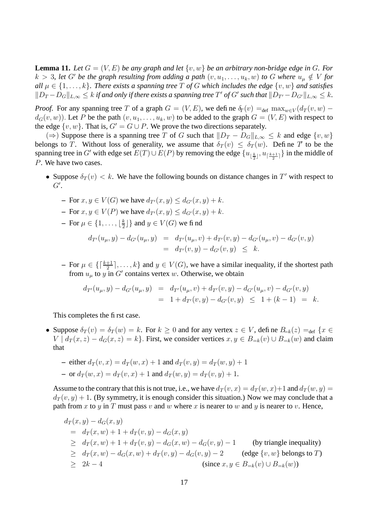**Lemma 11.** Let  $G = (V, E)$  be any graph and let  $\{v, w\}$  be an arbitrary non-bridge edge in G. For  $k > 3$ , let G' be the graph resulting from adding a path  $(v, u_1, \ldots, u_k, w)$  to G where  $u_\mu \notin V$  for *all*  $\mu \in \{1, \ldots, k\}$ . There exists a spanning tree T of G which includes the edge  $\{v, w\}$  and satisfies  $||D_T - D_G||_{L,\infty} \le k$  *if and only if there exists a spanning tree*  $T'$  *of*  $G'$  *such that*  $||D_{T'} - D_{G'}||_{L,\infty} \le k$ .

*Proof.* For any spanning tree T of a graph  $G = (V, E)$ , we define  $\delta_T(v) =_{\text{def}} \max_{w \in V} (d_T(v, w)$  $d_G(v, w)$ ). Let P be the path  $(v, u_1, \ldots, u_k, w)$  to be added to the graph  $G = (V, E)$  with respect to the edge  $\{v, w\}$ . That is,  $G' = G \cup P$ . We prove the two directions separately.

(⇒) Suppose there is a spanning tree T of G such that  $||D_T - D_G||_{L,\infty} \le k$  and edge  $\{v, w\}$ belongs to T. Without loss of generality, we assume that  $\delta_T(v) \leq \delta_T(w)$ . Define T to be the spanning tree in G' with edge set  $E(T) \cup E(P)$  by removing the edge  $\{u_{\lfloor \frac{k}{2}\rfloor}, u_{\lceil \frac{k+1}{2} \rceil}\}$  in the middle of P. We have two cases.

- Suppose  $\delta_T(v) < k$ . We have the following bounds on distance changes in T' with respect to  $G^{\prime}$ .
	- **–** For  $x, y \in V(G)$  we have  $d_{T}(x, y) \leq d_{G}(x, y) + k$ .
	- **–** For  $x, y \in V(P)$  we have  $d_{T}(x, y) \leq d_{G}(x, y) + k$ .
	- **−** For  $\mu \in \{1, ..., \lfloor \frac{k}{2} \rfloor\}$  $\left\{ \frac{k}{2} \right\}$  and  $y \in V(G)$  we find

$$
d_{T'}(u_{\mu}, y) - d_{G'}(u_{\mu}, y) = d_{T'}(u_{\mu}, v) + d_{T'}(v, y) - d_{G'}(u_{\mu}, v) - d_{G'}(v, y)
$$
  
=  $d_{T'}(v, y) - d_{G'}(v, y) \leq k.$ 

**−** For  $\mu \in \{\lceil \frac{k+1}{2} \rceil, \ldots, k\}$  and  $y \in V(G)$ , we have a similar inequality, if the shortest path from  $u_{\mu}$  to y in G' contains vertex w. Otherwise, we obtain

$$
d_{T'}(u_{\mu}, y) - d_{G'}(u_{\mu}, y) = d_{T'}(u_{\mu}, v) + d_{T'}(v, y) - d_{G'}(u_{\mu}, v) - d_{G'}(v, y)
$$
  
= 1 + d\_{T'}(v, y) - d\_{G'}(v, y) \le 1 + (k - 1) = k.

This completes the first case.

- Suppose  $\delta_T(v) = \delta_T(w) = k$ . For  $k \ge 0$  and for any vertex  $z \in V$ , define  $B_{=k}(z) = \delta_{\text{def}}(x)$  $V | d_T(x, z) - d_G(x, z) = k$ . First, we consider vertices  $x, y \in B_{=k}(v) \cup B_{=k}(w)$  and claim that
	- **–** either  $d_T(v, x) = d_T(w, x) + 1$  and  $d_T(v, y) = d_T(w, y) + 1$ **–** or  $d_T(w, x) = d_T(v, x) + 1$  and  $d_T(w, y) = d_T(v, y) + 1$ .

Assume to the contrary that this is not true, i.e., we have  $d_T(v, x) = d_T(w, x)+1$  and  $d_T(w, y) =$  $d_T(v, y) + 1$ . (By symmetry, it is enough consider this situation.) Now we may conclude that a path from x to y in T must pass v and w where x is nearer to w and y is nearer to v. Hence,

$$
d_T(x, y) - d_G(x, y)
$$
  
\n
$$
= d_T(x, w) + 1 + d_T(v, y) - d_G(x, y)
$$
  
\n
$$
\geq d_T(x, w) + 1 + d_T(v, y) - d_G(x, w) - d_G(v, y) - 1
$$
 (by triangle inequality)  
\n
$$
\geq d_T(x, w) - d_G(x, w) + d_T(v, y) - d_G(v, y) - 2
$$
 (edge  $\{v, w\}$  belongs to  $T$ )  
\n
$$
\geq 2k - 4
$$
 (since  $x, y \in B_{=k}(v) \cup B_{=k}(w)$ )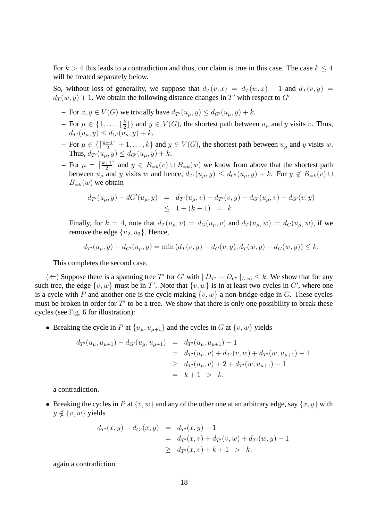For  $k > 4$  this leads to a contradiction and thus, our claim is true in this case. The case  $k \leq 4$ will be treated separately below.

So, without loss of generality, we suppose that  $d_T(v, x) = d_T(w, x) + 1$  and  $d_T(v, y) =$  $d_T(w, y) + 1$ . We obtain the following distance changes in T' with respect to G'

- **–** For  $x, y \in V(G)$  we trivially have  $d_{T}(u_{\mu}, y) \leq d_{G}(u_{\mu}, y) + k$ .
- $-$  For  $\mu \in \{1, \ldots, \lfloor \frac{k}{2} \rfloor\}$  $\left\{ \frac{k}{2} \right\}$  and  $y \in V(G)$ , the shortest path between  $u_{\mu}$  and y visits v. Thus,  $d_{T'}(u_{\mu}, y) \leq d_{G'}(u_{\mu}, y) + k.$
- **−** For  $\mu \in \{\lceil \frac{k+1}{2} \rceil + 1, \ldots, k\}$  and  $y \in V(G)$ , the shortest path between  $u_{\mu}$  and y visits w. Thus,  $d_{T}(u_{\mu}, y) \leq d_{G}(u_{\mu}, y) + k$ .
- $-$  For  $\mu = \lceil \frac{k+1}{2} \rceil$  $\frac{+1}{2}$  and  $y \in B_{=k}(v) \cup B_{=k}(w)$  we know from above that the shortest path between  $u_{\mu}$  and y visits w and hence,  $d_{T}(u_{\mu}, y) \leq d_{G}(u_{\mu}, y) + k$ . For  $y \notin B_{=k}(v)$  ∪  $B_{=k}(w)$  we obtain

$$
d_{T'}(u_{\mu}, y) - dG'(u_{\mu}, y) = d_{T'}(u_{\mu}, v) + d_{T'}(v, y) - d_{G'}(u_{\mu}, v) - d_{G'}(v, y)
$$
  
 
$$
\leq 1 + (k - 1) = k
$$

Finally, for  $k = 4$ , note that  $d_T(u_\mu, v) = d_G(u_\mu, v)$  and  $d_T(u_\mu, w) = d_G(u_\mu, w)$ , if we remove the edge  $\{u_2, u_3\}$ . Hence,

$$
d_{T'}(u_{\mu}, y) - d_{G'}(u_{\mu}, y) = \min (d_T(v, y) - d_G(v, y), d_T(w, y) - d_G(w, y)) \leq k.
$$

This completes the second case.

(  $\Leftarrow$  ) Suppose there is a spanning tree T' for G' with  $||D_{T'} - D_{G'}||_{L,\infty}$  ≤ k. We show that for any such tree, the edge  $\{v, w\}$  must be in T'. Note that  $\{v, w\}$  is in at least two cycles in G', where one is a cycle with P and another one is the cycle making  $\{v, w\}$  a non-bridge-edge in G. These cycles must be broken in order for  $T'$  to be a tree. We show that there is only one possibility to break these cycles (see Fig. 6 for illustration):

• Breaking the cycle in P at  $\{u_{\mu}, u_{\mu+1}\}\$  and the cycles in G at  $\{v, w\}$  yields

$$
d_{T'}(u_{\mu}, u_{\mu+1}) - d_{G'}(u_{\mu}, u_{\mu+1}) = d_{T'}(u_{\mu}, u_{\mu+1}) - 1
$$
  
= 
$$
d_{T'}(u_{\mu}, v) + d_{T'}(v, w) + d_{T'}(w, u_{\mu+1}) - 1
$$
  

$$
\geq d_{T'}(u_{\mu}, v) + 2 + d_{T'}(w, u_{\mu+1}) - 1
$$
  
=  $k + 1 > k$ ,

a contradiction.

• Breaking the cycles in P at  $\{v, w\}$  and any of the other one at an arbitrary edge, say  $\{x, y\}$  with  $y \notin \{v, w\}$  yields

$$
d_{T'}(x, y) - d_{G'}(x, y) = d_{T'}(x, y) - 1
$$
  
= 
$$
d_{T'}(x, y) + d_{T'}(v, w) + d_{T'}(w, y) - 1
$$
  

$$
\geq d_{T'}(x, v) + k + 1 > k,
$$

again a contradiction.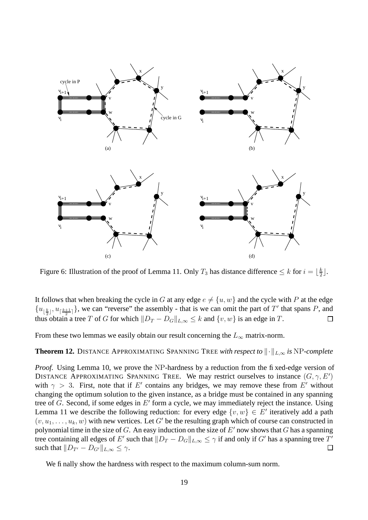

Figure 6: Illustration of the proof of Lemma 11. Only  $T_3$  has distance difference  $\leq k$  for  $i = \lfloor \frac{k}{2} \rfloor$  $\frac{k}{2}$ .

It follows that when breaking the cycle in G at any edge  $e \neq \{u, w\}$  and the cycle with P at the edge  $\{u_{\lfloor \frac{k}{2}\rfloor}, u_{\lceil \frac{k+1}{2}\rceil}\}\$ , we can "reverse" the assembly - that is we can omit the part of T' that spans P, and thus obtain a tree T of G for which  $||D_T - D_G||_{L,\infty} \le k$  and  $\{v, w\}$  is an edge in T.  $\Box$ 

From these two lemmas we easily obtain our result concerning the  $L_{\infty}$  matrix-norm.

**Theorem 12.** DISTANCE APPROXIMATING SPANNING TREE *with respect to*  $\|\cdot\|_{L,\infty}$  *is* NP-*complete* 

*Proof.* Using Lemma 10, we prove the NP-hardness by a reduction from the fixed-edge version of DISTANCE APPROXIMATING SPANNING TREE. We may restrict ourselves to instance  $(G, \gamma, E')$ with  $\gamma > 3$ . First, note that if E' contains any bridges, we may remove these from E' without changing the optimum solution to the given instance, as a bridge must be contained in any spanning tree of  $G$ . Second, if some edges in  $E'$  form a cycle, we may immediately reject the instance. Using Lemma 11 we describe the following reduction: for every edge  $\{v, w\} \in E'$  iteratively add a path  $(v, u_1, \ldots, u_k, w)$  with new vertices. Let G' be the resulting graph which of course can constructed in polynomial time in the size of G. An easy induction on the size of  $E'$  now shows that G has a spanning tree containing all edges of E' such that  $||D_T - D_G||_{L,\infty} \le \gamma$  if and only if  $G'$  has a spanning tree  $T'$ such that  $||D_{T'} - D_{G'}||_{L,\infty} \leq \gamma$ . □

We finally show the hardness with respect to the maximum column-sum norm.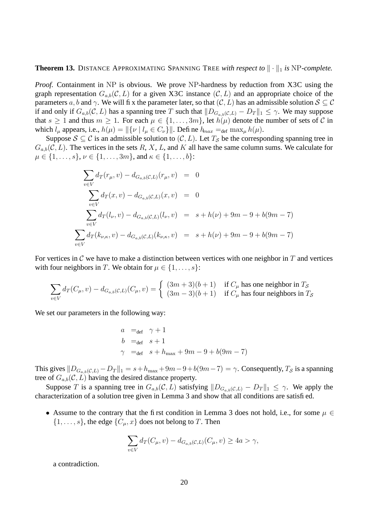**Theorem 13.** DISTANCE APPROXIMATING SPANNING TREE with respect to  $\|\cdot\|_1$  is NP-complete.

*Proof.* Containment in NP is obvious. We prove NP-hardness by reduction from X3C using the graph representation  $G_{a,b}(\mathcal{C}, L)$  for a given X3C instance  $(\mathcal{C}, L)$  and an appropriate choice of the parameters a, b and  $\gamma$ . We will fix the parameter later, so that  $(C, L)$  has an admissible solution  $S \subseteq C$ if and only if  $G_{a,b}(\mathcal{C}, L)$  has a spanning tree T such that  $||D_{G_{a,b}(\mathcal{C}, L)} - D_T||_1 \leq \gamma$ . We may suppose that  $s \ge 1$  and thus  $m \ge 1$ . For each  $\mu \in \{1, \ldots, 3m\}$ , let  $h(\mu)$  denote the number of sets of C in which  $l_{\mu}$  appears, i.e.,  $h(\mu) = ||\{\nu \mid l_{\mu} \in C_{\nu}\}||$ . Define  $h_{max} =_{def} max_{\mu} h(\mu)$ .

Suppose  $S \subseteq \mathcal{C}$  is an admissible solution to  $(\mathcal{C}, L)$ . Let  $T_S$  be the corresponding spanning tree in  $G_{a,b}(\mathcal{C}, L)$ . The vertices in the sets R, X, L, and K all have the same column sums. We calculate for  $\mu \in \{1, \ldots, s\}, \nu \in \{1, \ldots, 3m\}, \text{ and } \kappa \in \{1, \ldots, b\}$ :

$$
\sum_{v \in V} d_T(r_{\mu}, v) - d_{G_{a,b}(C,L)}(r_{\mu}, v) = 0
$$
\n
$$
\sum_{v \in V} d_T(x, v) - d_{G_{a,b}(C,L)}(x, v) = 0
$$
\n
$$
\sum_{v \in V} d_T(l_{\nu}, v) - d_{G_{a,b}(C,L)}(l_{\nu}, v) = s + h(\nu) + 9m - 9 + b(9m - 7)
$$
\n
$$
\sum_{v \in V} d_T(k_{\nu,\kappa}, v) - d_{G_{a,b}(C,L)}(k_{\nu,\kappa}, v) = s + h(\nu) + 9m - 9 + b(9m - 7)
$$

For vertices in C we have to make a distinction between vertices with one neighbor in  $T$  and vertices with four neighbors in T. We obtain for  $\mu \in \{1, \ldots, s\}$ :

$$
\sum_{v \in V} d_T(C_{\mu}, v) - d_{G_{a,b}(\mathcal{C}, L)}(C_{\mu}, v) = \begin{cases} (3m+3)(b+1) & \text{if } C_{\mu} \text{ has one neighbor in } T_{\mathcal{S}} \\ (3m-3)(b+1) & \text{if } C_{\mu} \text{ has four neighbors in } T_{\mathcal{S}} \end{cases}
$$

We set our parameters in the following way:

$$
a =_{def} \gamma + 1
$$
  
\n
$$
b =_{def} s + 1
$$
  
\n
$$
\gamma =_{def} s + h_{max} + 9m - 9 + b(9m - 7)
$$

This gives  $||D_{G_{a,b}(\mathcal{C},L)} - D_T||_1 = s + h_{\text{max}} + 9m - 9 + b(9m-7) = \gamma$ . Consequently,  $T_{\mathcal{S}}$  is a spanning tree of  $G_{a,b}(\mathcal{C}, L)$  having the desired distance property.

Suppose T is a spanning tree in  $G_{a,b}(\mathcal{C}, L)$  satisfying  $||D_{G_{a,b}(\mathcal{C}, L)} - D_T||_1 \leq \gamma$ . We apply the characterization of a solution tree given in Lemma 3 and show that all conditions are satisfied.

• Assume to the contrary that the first condition in Lemma 3 does not hold, i.e., for some  $\mu \in$  $\{1, \ldots, s\}$ , the edge  $\{C_u, x\}$  does not belong to T. Then

$$
\sum_{v \in V} d_T(C_{\mu}, v) - d_{G_{a,b}(\mathcal{C}, L)}(C_{\mu}, v) \ge 4a > \gamma,
$$

a contradiction.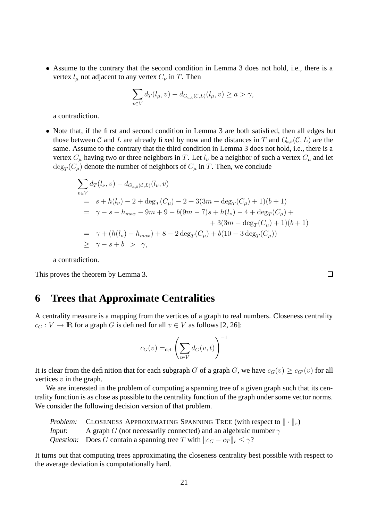• Assume to the contrary that the second condition in Lemma 3 does not hold, i.e., there is a vertex  $l_{\mu}$  not adjacent to any vertex  $C_{\nu}$  in T. Then

$$
\sum_{v \in V} d_T(l_\mu, v) - d_{G_{a,b}(\mathcal{C}, L)}(l_\mu, v) \ge a > \gamma,
$$

a contradiction.

• Note that, if the first and second condition in Lemma 3 are both satisfied, then all edges but those between C and L are already fixed by now and the distances in T and  $G_{a,b}(\mathcal{C}, L)$  are the same. Assume to the contrary that the third condition in Lemma 3 does not hold, i.e., there is a vertex  $C_{\mu}$  having two or three neighbors in T. Let  $l_{\nu}$  be a neighbor of such a vertex  $C_{\mu}$  and let  $\deg_T(C_\mu)$  denote the number of neighbors of  $C_\mu$  in  $T$ . Then, we conclude

$$
\sum_{v \in V} d_T(l_{\nu}, v) - d_{G_{a,b}(C,L)}(l_{\nu}, v)
$$
\n
$$
= s + h(l_{\nu}) - 2 + \deg_T(C_{\mu}) - 2 + 3(3m - \deg_T(C_{\mu}) + 1)(b + 1)
$$
\n
$$
= \gamma - s - h_{max} - 9m + 9 - b(9m - 7)s + h(l_{\nu}) - 4 + \deg_T(C_{\mu}) + 3(3m - \deg_T(C_{\mu}) + 1)(b + 1)
$$
\n
$$
= \gamma + (h(l_{\nu}) - h_{max}) + 8 - 2\deg_T(C_{\mu}) + b(10 - 3\deg_T(C_{\mu}))
$$
\n
$$
\geq \gamma - s + b > \gamma,
$$

a contradiction.

This proves the theorem by Lemma 3.

#### **6 Trees that Approximate Centralities**

A centrality measure is a mapping from the vertices of a graph to real numbers. Closeness centrality  $c_G : V \to \mathbb{R}$  for a graph G is defined for all  $v \in V$  as follows [2, 26]:

$$
c_G(v) =_{\text{def}} \left(\sum_{t \in V} d_G(v, t)\right)^{-1}
$$

It is clear from the definition that for each subgraph G of a graph G, we have  $c_G(v) > c_{G'}(v)$  for all vertices  $v$  in the graph.

We are interested in the problem of computing a spanning tree of a given graph such that its centrality function is as close as possible to the centrality function of the graph under some vector norms. We consider the following decision version of that problem.

Problem: CLOSENESS APPROXIMATING SPANNING TREE (with respect to  $\|\cdot\|_r$ ) Input: A graph G (not necessarily connected) and an algebraic number  $\gamma$ Question: Does G contain a spanning tree T with  $||c_G - c_T||_r \le \gamma$ ?

It turns out that computing trees approximating the closeness centrality best possible with respect to the average deviation is computationally hard.

 $\Box$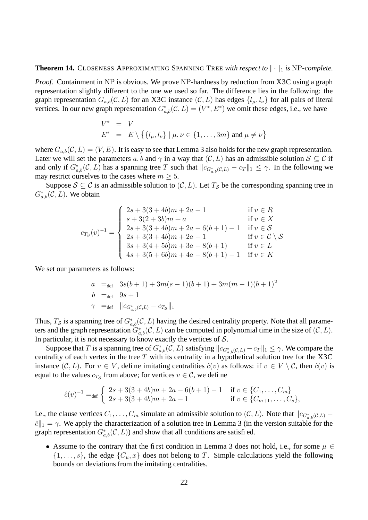**Theorem 14.** CLOSENESS APPROXIMATING SPANNING TREE *with respect to*  $\|\cdot\|_1$  *is* NP*-complete.* 

*Proof.* Containment in NP is obvious. We prove NP-hardness by reduction from X3C using a graph representation slightly different to the one we used so far. The difference lies in the following: the graph representation  $G_{a,b}(\mathcal{C}, L)$  for an X3C instance  $(\mathcal{C}, L)$  has edges  $\{l_{\mu}, l_{\nu}\}$  for all pairs of literal vertices. In our new graph representation  $G^*_{a,b}(\mathcal{C}, L) = (V^*, E^*)$  we omit these edges, i.e., we have

$$
V^* = V
$$
  
\n
$$
E^* = E \setminus \{ \{l_\mu, l_\nu\} \mid \mu, \nu \in \{1, ..., 3m\} \text{ and } \mu \neq \nu \}
$$

where  $G_{a,b}(\mathcal{C}, L) = (V, E)$ . It is easy to see that Lemma 3 also holds for the new graph representation. Later we will set the parameters a, b and  $\gamma$  in a way that  $(C, L)$  has an admissible solution  $S \subseteq C$  if and only if  $G_{a,b}^*(\mathcal{C}, L)$  has a spanning tree T such that  $||c_{G_{a,b}^*(\mathcal{C}, L)} - c_T||_1 \leq \gamma$ . In the following we may restrict ourselves to the cases where  $m \geq 5$ .

Suppose  $S \subseteq \mathcal{C}$  is an admissible solution to  $(\mathcal{C}, L)$ . Let  $T_S$  be the corresponding spanning tree in  $G^*_{a,b}(\mathcal{C}, L)$ . We obtain

$$
c_{T_S}(v)^{-1} = \begin{cases} 2s + 3(3 + 4b)m + 2a - 1 & \text{if } v \in R \\ s + 3(2 + 3b)m + a & \text{if } v \in X \\ 2s + 3(3 + 4b)m + 2a - 6(b + 1) - 1 & \text{if } v \in S \\ 2s + 3(3 + 4b)m + 2a - 1 & \text{if } v \in C \setminus S \\ 3s + 3(4 + 5b)m + 3a - 8(b + 1) & \text{if } v \in L \\ 4s + 3(5 + 6b)m + 4a - 8(b + 1) - 1 & \text{if } v \in K \end{cases}
$$

We set our parameters as follows:

$$
a =_{def} 3s(b+1) + 3m(s-1)(b+1) + 3m(m-1)(b+1)2
$$
  
\n
$$
b =_{def} 9s + 1
$$
  
\n
$$
\gamma =_{def} ||c_{G_{a,b}^*(c,L)} - c_{Ts}||_1
$$

Thus,  $T_S$  is a spanning tree of  $G^*_{a,b}(\mathcal{C}, L)$  having the desired centrality property. Note that all parameters and the graph representation  $G^*_{a,b}(\mathcal{C}, L)$  can be computed in polynomial time in the size of  $(\mathcal{C}, L)$ . In particular, it is not necessary to know exactly the vertices of  $S$ .

Suppose that T is a spanning tree of  $G^*_{a,b}(\mathcal{C}, L)$  satisfying  $||c_{G^*_{a,b}(\mathcal{C}, L)} - c_T||_1 \leq \gamma$ . We compare the centrality of each vertex in the tree  $T$  with its centrality in a hypothetical solution tree for the X3C instance  $(C, L)$ . For  $v \in V$ , define imitating centralities  $\hat{c}(v)$  as follows: if  $v \in V \setminus C$ , then  $\hat{c}(v)$  is equal to the values  $c_{T_{\mathcal{S}}}$  from above; for vertices  $v \in \mathcal{C}$ , we define

$$
\hat{c}(v)^{-1} =_{\text{def}} \begin{cases} 2s + 3(3 + 4b)m + 2a - 6(b + 1) - 1 & \text{if } v \in \{C_1, \dots, C_m\} \\ 2s + 3(3 + 4b)m + 2a - 1 & \text{if } v \in \{C_{m+1}, \dots, C_s\}, \end{cases}
$$

i.e., the clause vertices  $C_1, \ldots, C_m$  simulate an admissible solution to  $(C, L)$ . Note that  $||c_{G^*_{a,b}(C,L)} \hat{c}$ <sub>1</sub> =  $\gamma$ . We apply the characterization of a solution tree in Lemma 3 (in the version suitable for the graph representation  $G^*_{a,b}(\mathcal{C}, L)$  and show that all conditions are satisfied.

• Assume to the contrary that the first condition in Lemma 3 does not hold, i.e., for some  $\mu \in$  $\{1,\ldots,s\}$ , the edge  $\{C_{\mu},x\}$  does not belong to T. Simple calculations yield the following bounds on deviations from the imitating centralities.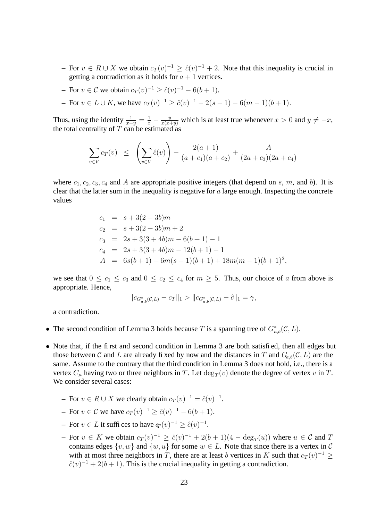- **–** For  $v \in R \cup X$  we obtain  $c_T(v)^{-1} \ge \hat{c}(v)^{-1} + 2$ . Note that this inequality is crucial in getting a contradiction as it holds for  $a + 1$  vertices.
- **−** For  $v \in \mathcal{C}$  we obtain  $c_T(v)^{-1} \ge \hat{c}(v)^{-1} 6(b+1)$ .
- **−** For  $v \in L \cup K$ , we have  $c_T(v)^{-1} \ge \hat{c}(v)^{-1} 2(s-1) 6(m-1)(b+1)$ .

Thus, using the identity  $\frac{1}{x+y} = \frac{1}{x} - \frac{y}{x(x+y)}$  which is at least true whenever  $x > 0$  and  $y \neq -x$ , the total centrality of  $T$  can be estimated as

$$
\sum_{v \in V} c_T(v) \leq \left(\sum_{v \in V} \hat{c}(v)\right) - \frac{2(a+1)}{(a+c_1)(a+c_2)} + \frac{A}{(2a+c_3)(2a+c_4)}
$$

where  $c_1, c_2, c_3, c_4$  and A are appropriate positive integers (that depend on s, m, and b). It is clear that the latter sum in the inequality is negative for  $a$  large enough. Inspecting the concrete values

$$
c_1 = s + 3(2 + 3b)m
$$
  
\n
$$
c_2 = s + 3(2 + 3b)m + 2
$$
  
\n
$$
c_3 = 2s + 3(3 + 4b)m - 6(b + 1) - 1
$$
  
\n
$$
c_4 = 2s + 3(3 + 4b)m - 12(b + 1) - 1
$$
  
\n
$$
A = 6s(b + 1) + 6m(s - 1)(b + 1) + 18m(m - 1)(b + 1)^2
$$

we see that  $0 \le c_1 \le c_3$  and  $0 \le c_2 \le c_4$  for  $m \ge 5$ . Thus, our choice of a from above is appropriate. Hence,

,

$$
||c_{G_{a,b}^*(\mathcal{C},L)} - c_T||_1 > ||c_{G_{a,b}^*(\mathcal{C},L)} - \hat{c}||_1 = \gamma,
$$

a contradiction.

- The second condition of Lemma 3 holds because T is a spanning tree of  $G^*_{a,b}(\mathcal{C}, L)$ .
- Note that, if the first and second condition in Lemma 3 are both satisfied, then all edges but those between C and L are already fixed by now and the distances in T and  $G_{a,b}(\mathcal{C}, L)$  are the same. Assume to the contrary that the third condition in Lemma 3 does not hold, i.e., there is a vertex  $C_{\mu}$  having two or three neighbors in T. Let  $\deg_T(v)$  denote the degree of vertex v in T. We consider several cases:
	- **−** For  $v \in R \cup X$  we clearly obtain  $c_T(v)^{-1} = \hat{c}(v)^{-1}$ .
	- **−** For  $v \in \mathcal{C}$  we have  $c_T(v)^{-1} \ge \hat{c}(v)^{-1} 6(b+1)$ .
	- **−** For  $v \in L$  it suffices to have  $q_T(v)^{-1} \ge \hat{c}(v)^{-1}$ .
	- **–** For  $v \in K$  we obtain  $c_T(v)^{-1} \ge \hat{c}(v)^{-1} + 2(b+1)(4 \deg_T(u))$  where  $u \in \mathcal{C}$  and T contains edges  $\{v, w\}$  and  $\{w, u\}$  for some  $w \in L$ . Note that since there is a vertex in C with at most three neighbors in T, there are at least b vertices in K such that  $c_T(v)^{-1} \ge$  $\hat{c}(v)^{-1} + 2(b+1)$ . This is the crucial inequality in getting a contradiction.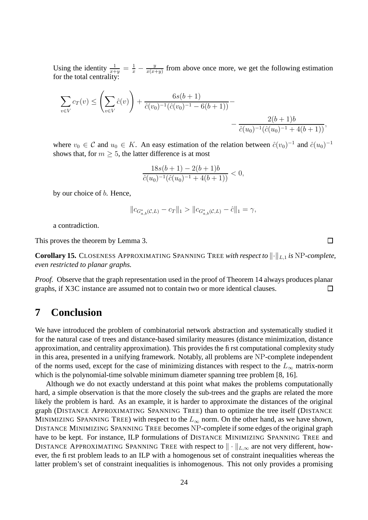Using the identity  $\frac{1}{x+y} = \frac{1}{x} - \frac{y}{x(x+y)}$  $\frac{y}{x(x+y)}$  from above once more, we get the following estimation for the total centrality:

$$
\sum_{v \in V} c_T(v) \le \left(\sum_{v \in V} \hat{c}(v)\right) + \frac{6s(b+1)}{\hat{c}(v_0)^{-1}(\hat{c}(v_0)^{-1} - 6(b+1))} - \frac{2(b+1)b}{\hat{c}(u_0)^{-1}(\hat{c}(u_0)^{-1} + 4(b+1))},
$$

where  $v_0 \in \mathcal{C}$  and  $u_0 \in K$ . An easy estimation of the relation between  $\hat{c}(v_0)^{-1}$  and  $\hat{c}(u_0)^{-1}$ shows that, for  $m > 5$ , the latter difference is at most

$$
\frac{18s(b+1) - 2(b+1)b}{\hat{c}(u_0)^{-1}(\hat{c}(u_0)^{-1} + 4(b+1))} < 0,
$$

by our choice of *b*. Hence,

$$
||c_{G_{a,b}^*(\mathcal{C},L)} - c_T||_1 > ||c_{G_{a,b}^*(\mathcal{C},L)} - \hat{c}||_1 = \gamma,
$$

 $\Box$ 

a contradiction.

This proves the theorem by Lemma 3.

**Corollary 15.** CLOSENESS APPROXIMATING SPANNING TREE with respect to  $\|\cdot\|_{L,1}$  is NP-complete, *even restricted to planar graphs.*

*Proof.* Observe that the graph representation used in the proof of Theorem 14 always produces planar graphs, if X3C instance are assumed not to contain two or more identical clauses.  $\Box$ 

#### **7 Conclusion**

We have introduced the problem of combinatorial network abstraction and systematically studied it for the natural case of trees and distance-based similarity measures (distance minimization, distance approximation, and centrality approximation). This provides the first computational complexity study in this area, presented in a unifying framework. Notably, all problems are NP-complete independent of the norms used, except for the case of minimizing distances with respect to the  $L_{\infty}$  matrix-norm which is the polynomial-time solvable minimum diameter spanning tree problem [8, 16].

Although we do not exactly understand at this point what makes the problems computationally hard, a simple observation is that the more closely the sub-trees and the graphs are related the more likely the problem is hard. As an example, it is harder to approximate the distances of the original graph (DISTANCE APPROXIMATING SPANNING TREE) than to optimize the tree itself (DISTANCE MINIMIZING SPANNING TREE) with respect to the  $L_{\infty}$  norm. On the other hand, as we have shown, DISTANCE MINIMIZING SPANNING TREE becomes NP-complete if some edges of the original graph have to be kept. For instance, ILP formulations of DISTANCE MINIMIZING SPANNING TREE and DISTANCE APPROXIMATING SPANNING TREE with respect to  $\|\cdot\|_{L,\infty}$  are not very different, however, the first problem leads to an ILP with a homogenous set of constraint inequalities whereas the latter problem's set of constraint inequalities is inhomogenous. This not only provides a promising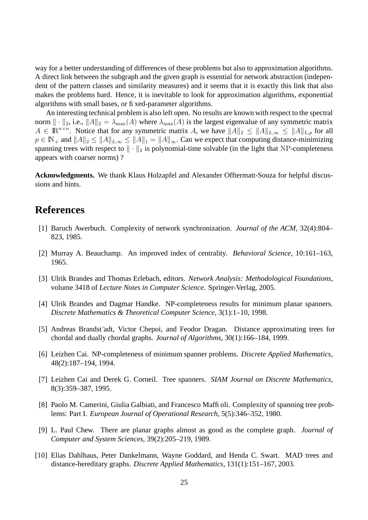way for a better understanding of differences of these problems but also to approximation algorithms. A direct link between the subgraph and the given graph is essential for network abstraction (independent of the pattern classes and similarity measures) and it seems that it is exactly this link that also makes the problems hard. Hence, it is inevitable to look for approximation algorithms, exponential algorithms with small bases, or fixed-parameter algorithms.

An interesting technical problem is also left open. No results are known with respect to the spectral norm  $\|\cdot\|_2$ , i.e.,  $\|A\|_2 = \lambda_{\max}(A)$  where  $\lambda_{\max}(A)$  is the largest eigenvalue of any symmetric matrix  $A \in \mathbb{R}^{n \times n}$ . Notice that for any symmetric matrix A, we have  $||A||_2 \leq ||A||_{L,\infty} \leq ||A||_{L,p}$  for all  $p \in \mathbb{N}_+$  and  $||A||_2 \le ||A||_{L,\infty} \le ||A||_1 = ||A||_{\infty}$ . Can we expect that computing distance-minimizing spanning trees with respect to  $\|\cdot\|_2$  is polynomial-time solvable (in the light that NP-completeness appears with coarser norms) ?

**Acknowledgments.** We thank Klaus Holzapfel and Alexander Offtermatt-Souza for helpful discussions and hints.

#### **References**

- [1] Baruch Awerbuch. Complexity of network synchronization. *Journal of the ACM*, 32(4):804– 823, 1985.
- [2] Murray A. Beauchamp. An improved index of centrality. *Behavioral Science*, 10:161–163, 1965.
- [3] Ulrik Brandes and Thomas Erlebach, editors. *Network Analysis: Methodological Foundations*, volume 3418 of *Lecture Notes in Computer Science*. Springer-Verlag, 2005.
- [4] Ulrik Brandes and Dagmar Handke. NP-completeness results for minimum planar spanners. *Discrete Mathematics & Theoretical Computer Science*, 3(1):1–10, 1998.
- [5] Andreas Brandst¨adt, Victor Chepoi, and Feodor Dragan. Distance approximating trees for chordal and dually chordal graphs. *Journal of Algorithms*, 30(1):166–184, 1999.
- [6] Leizhen Cai. NP-completeness of minimum spanner problems. *Discrete Applied Mathematics*, 48(2):187–194, 1994.
- [7] Leizhen Cai and Derek G. Corneil. Tree spanners. *SIAM Journal on Discrete Mathematics*, 8(3):359–387, 1995.
- [8] Paolo M. Camerini, Giulia Galbiati, and Francesco Maffioli. Complexity of spanning tree problems: Part I. *European Journal of Operational Research*, 5(5):346–352, 1980.
- [9] L. Paul Chew. There are planar graphs almost as good as the complete graph. *Journal of Computer and System Sciences*, 39(2):205–219, 1989.
- [10] Elias Dahlhaus, Peter Dankelmann, Wayne Goddard, and Henda C. Swart. MAD trees and distance-hereditary graphs. *Discrete Applied Mathematics*, 131(1):151–167, 2003.